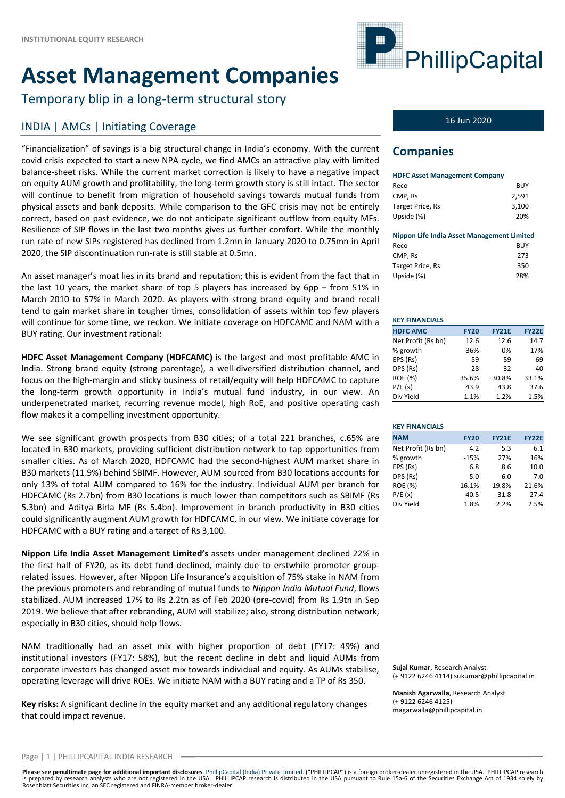# **Asset Management Companies**

Temporary blip in a long‐term structural story

## INDIA | AMCs | Initiating Coverage 16 Jun 2020

"Financialization" of savings is a big structural change in India's economy. With the current covid crisis expected to start a new NPA cycle, we find AMCs an attractive play with limited balance‐sheet risks. While the current market correction is likely to have a negative impact on equity AUM growth and profitability, the long‐term growth story is still intact. The sector will continue to benefit from migration of household savings towards mutual funds from physical assets and bank deposits. While comparison to the GFC crisis may not be entirely correct, based on past evidence, we do not anticipate significant outflow from equity MFs. Resilience of SIP flows in the last two months gives us further comfort. While the monthly run rate of new SIPs registered has declined from 1.2mn in January 2020 to 0.75mn in April 2020, the SIP discontinuation run‐rate is still stable at 0.5mn.

An asset manager's moat lies in its brand and reputation; this is evident from the fact that in the last 10 years, the market share of top 5 players has increased by 6pp – from 51% in March 2010 to 57% in March 2020. As players with strong brand equity and brand recall tend to gain market share in tougher times, consolidation of assets within top few players will continue for some time, we reckon. We initiate coverage on HDFCAMC and NAM with a BUY rating. Our investment rational:

**HDFC Asset Management Company (HDFCAMC)** is the largest and most profitable AMC in India. Strong brand equity (strong parentage), a well‐diversified distribution channel, and focus on the high‐margin and sticky business of retail/equity will help HDFCAMC to capture the long‐term growth opportunity in India's mutual fund industry, in our view. An underpenetrated market, recurring revenue model, high RoE, and positive operating cash flow makes it a compelling investment opportunity.

We see significant growth prospects from B30 cities; of a total 221 branches, c.65% are located in B30 markets, providing sufficient distribution network to tap opportunities from smaller cities. As of March 2020, HDFCAMC had the second-highest AUM market share in B30 markets (11.9%) behind SBIMF. However, AUM sourced from B30 locations accounts for only 13% of total AUM compared to 16% for the industry. Individual AUM per branch for HDFCAMC (Rs 2.7bn) from B30 locations is much lower than competitors such as SBIMF (Rs 5.3bn) and Aditya Birla MF (Rs 5.4bn). Improvement in branch productivity in B30 cities could significantly augment AUM growth for HDFCAMC, in our view. We initiate coverage for HDFCAMC with a BUY rating and a target of Rs 3,100.

**Nippon Life India Asset Management Limited's** assets under management declined 22% in the first half of FY20, as its debt fund declined, mainly due to erstwhile promoter group‐ related issues. However, after Nippon Life Insurance's acquisition of 75% stake in NAM from the previous promoters and rebranding of mutual funds to *Nippon India Mutual Fund*, flows stabilized. AUM increased 17% to Rs 2.2tn as of Feb 2020 (pre‐covid) from Rs 1.9tn in Sep 2019. We believe that after rebranding, AUM will stabilize; also, strong distribution network, especially in B30 cities, should help flows.

NAM traditionally had an asset mix with higher proportion of debt (FY17: 49%) and institutional investors (FY17: 58%), but the recent decline in debt and liquid AUMs from corporate investors has changed asset mix towards individual and equity. As AUMs stabilise, operating leverage will drive ROEs. We initiate NAM with a BUY rating and a TP of Rs 350.

**Key risks:** A significant decline in the equity market and any additional regulatory changes that could impact revenue.



### **Companies**

| <b>HDFC Asset Management Company</b> |       |
|--------------------------------------|-------|
| Reco                                 | BUY   |
| CMP. Rs                              | 2.591 |
| Target Price, Rs                     | 3,100 |
| Upside (%)                           | 20%   |

|  | <b>Nippon Life India Asset Management Limited</b> |  |
|--|---------------------------------------------------|--|
|--|---------------------------------------------------|--|

| <b>BUY</b> |
|------------|
| 273        |
| 350        |
| 28%        |
|            |

#### **KEY FINANCIALS**

| <b>HDFC AMC</b>    | <b>FY20</b> | <b>FY21E</b> | <b>FY22E</b> |
|--------------------|-------------|--------------|--------------|
| Net Profit (Rs bn) | 12.6        | 12.6         | 14.7         |
| % growth           | 36%         | 0%           | 17%          |
| EPS (Rs)           | 59          | 59           | 69           |
| DPS (Rs)           | 28          | 32           | 40           |
| <b>ROE (%)</b>     | 35.6%       | 30.8%        | 33.1%        |
| P/E(x)             | 43.9        | 43.8         | 37.6         |
| Div Yield          | 1.1%        | 1.2%         | 1.5%         |

#### **KEY FINANCIALS NAM FY20 FY21E FY22E** Net Profit (Rs bn) 4.2 5.3 6.1 % growth ‐15% 27% 16% EPS (Rs) 6.8 8.6 10.0 DPS (Rs) 5.0 6.0 7.0 ROE (%) 16.1% 19.8% 21.6% P/E (x) 40.5 31.8 27.4 Div Yield 1.8% 2.2% 2.5%

**Sujal Kumar**, Research Analyst (+ 9122 6246 4114) sukumar@phillipcapital.in

**Manish Agarwalla**, Research Analyst (+ 9122 6246 4125) magarwalla@phillipcapital.in

Please see penultimate page for additional important disclosures. PhillipCapital (India) Private Limited. ("PHILLIPCAP") is a foreign broker-dealer unregistered in the USA. PHILLIPCAP research is prepared by research analysts who are not registered in the USA. PHILLIPCAP research is distributed in the USA pursuant to Rule 15a-6 of the Securities Exchange Act of 1934 solely by<br>Rosenblatt Securities Inc, an SEC re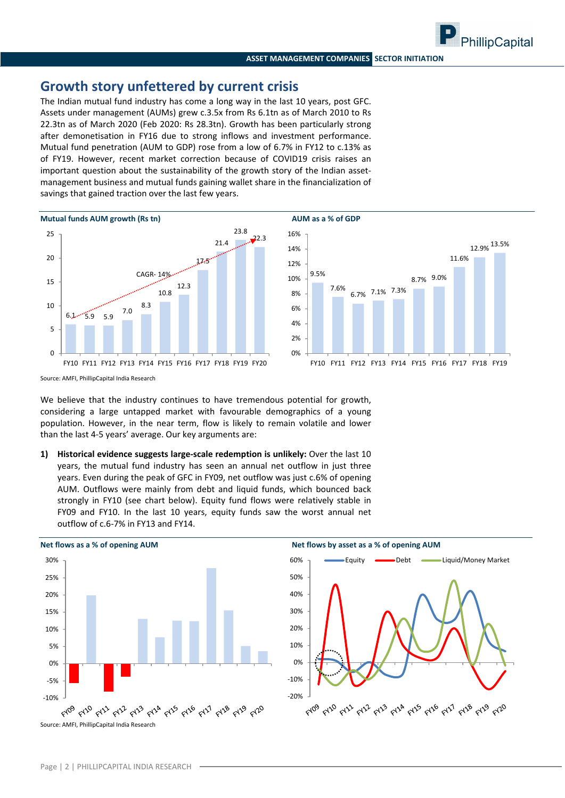### **Growth story unfettered by current crisis**

The Indian mutual fund industry has come a long way in the last 10 years, post GFC. Assets under management (AUMs) grew c.3.5x from Rs 6.1tn as of March 2010 to Rs 22.3tn as of March 2020 (Feb 2020: Rs 28.3tn). Growth has been particularly strong after demonetisation in FY16 due to strong inflows and investment performance. Mutual fund penetration (AUM to GDP) rose from a low of 6.7% in FY12 to c.13% as of FY19. However, recent market correction because of COVID19 crisis raises an important question about the sustainability of the growth story of the Indian assetmanagement business and mutual funds gaining wallet share in the financialization of savings that gained traction over the last few years.





Source: AMFI, PhillipCapital India Research

We believe that the industry continues to have tremendous potential for growth, considering a large untapped market with favourable demographics of a young population. However, in the near term, flow is likely to remain volatile and lower than the last 4‐5 years' average. Our key arguments are:

**1) Historical evidence suggests large‐scale redemption is unlikely:** Over the last 10 years, the mutual fund industry has seen an annual net outflow in just three years. Even during the peak of GFC in FY09, net outflow was just c.6% of opening AUM. Outflows were mainly from debt and liquid funds, which bounced back strongly in FY10 (see chart below). Equity fund flows were relatively stable in FY09 and FY10. In the last 10 years, equity funds saw the worst annual net outflow of c.6‐7% in FY13 and FY14.



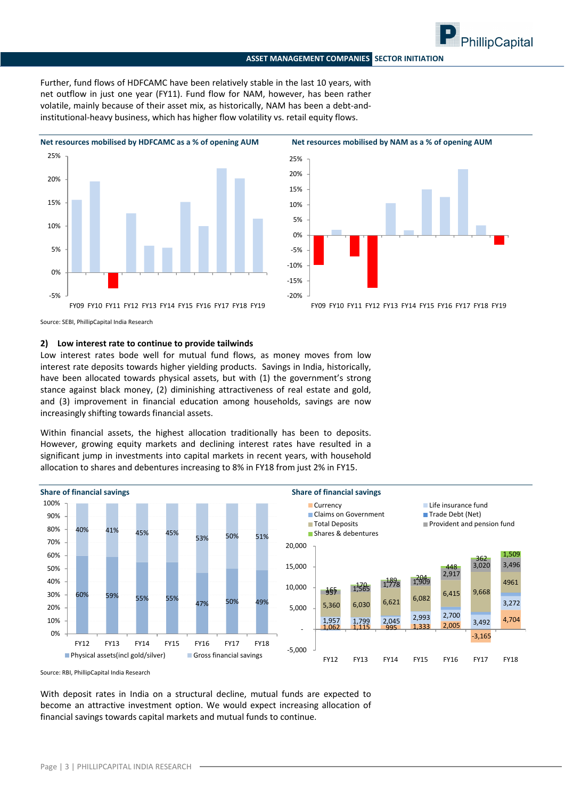Further, fund flows of HDFCAMC have been relatively stable in the last 10 years, with net outflow in just one year (FY11). Fund flow for NAM, however, has been rather volatile, mainly because of their asset mix, as historically, NAM has been a debt-andinstitutional-heavy business, which has higher flow volatility vs. retail equity flows.





Source: SEBI, PhillipCapital India Research

#### **2) Low interest rate to continue to provide tailwinds**

Low interest rates bode well for mutual fund flows, as money moves from low interest rate deposits towards higher yielding products. Savings in India, historically, have been allocated towards physical assets, but with (1) the government's strong stance against black money, (2) diminishing attractiveness of real estate and gold, and (3) improvement in financial education among households, savings are now increasingly shifting towards financial assets.

Within financial assets, the highest allocation traditionally has been to deposits. However, growing equity markets and declining interest rates have resulted in a significant jump in investments into capital markets in recent years, with household allocation to shares and debentures increasing to 8% in FY18 from just 2% in FY15.



Source: RBI, PhillipCapital India Research

With deposit rates in India on a structural decline, mutual funds are expected to become an attractive investment option. We would expect increasing allocation of financial savings towards capital markets and mutual funds to continue.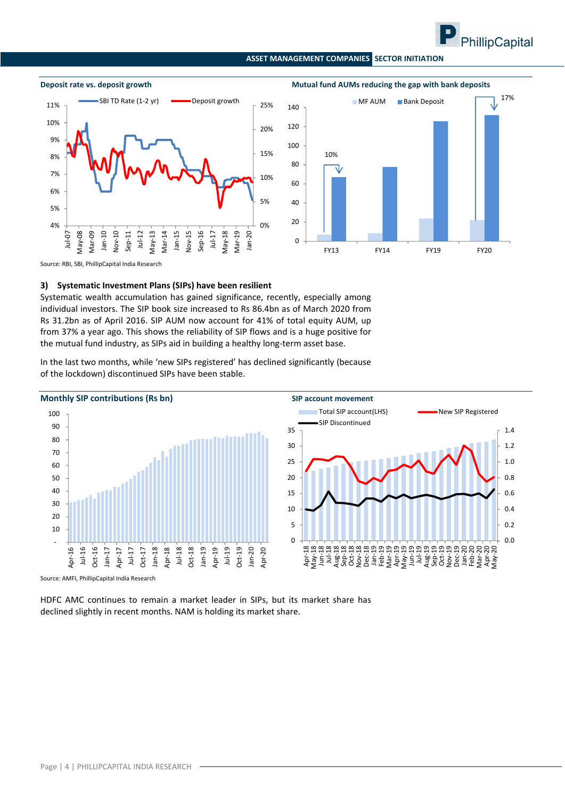







Source: RBI, SBI, PhillipCapital India Research

#### **3) Systematic Investment Plans (SIPs) have been resilient**

Systematic wealth accumulation has gained significance, recently, especially among individual investors. The SIP book size increased to Rs 86.4bn as of March 2020 from Rs 31.2bn as of April 2016. SIP AUM now account for 41% of total equity AUM, up from 37% a year ago. This shows the reliability of SIP flows and is a huge positive for the mutual fund industry, as SIPs aid in building a healthy long-term asset base.

In the last two months, while 'new SIPs registered' has declined significantly (because of the lockdown) discontinued SIPs have been stable.



Source: AMFI, PhillipCapital India Research

HDFC AMC continues to remain a market leader in SIPs, but its market share has declined slightly in recent months. NAM is holding its market share.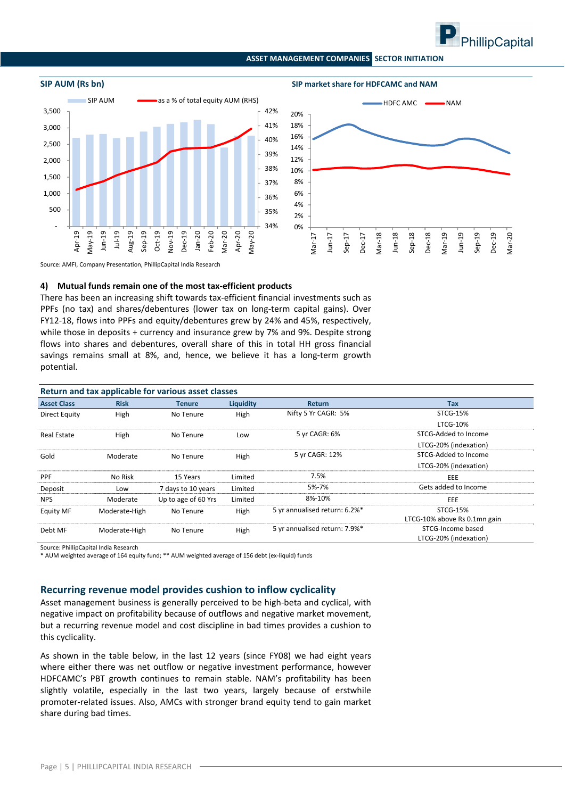



**SIP AUM (Rs bn) SIP market share for HDFCAMC and NAM**



Source: AMFI, Company Presentation, PhillipCapital India Research

#### **4) Mutual funds remain one of the most tax‐efficient products**

There has been an increasing shift towards tax-efficient financial investments such as PPFs (no tax) and shares/debentures (lower tax on long-term capital gains). Over FY12‐18, flows into PPFs and equity/debentures grew by 24% and 45%, respectively, while those in deposits + currency and insurance grew by 7% and 9%. Despite strong flows into shares and debentures, overall share of this in total HH gross financial savings remains small at 8%, and, hence, we believe it has a long-term growth potential.

| Return and tax applicable for various asset classes |               |                     |           |                               |                              |  |  |  |  |  |  |
|-----------------------------------------------------|---------------|---------------------|-----------|-------------------------------|------------------------------|--|--|--|--|--|--|
| <b>Asset Class</b>                                  | <b>Risk</b>   | <b>Tenure</b>       | Liquidity | <b>Return</b>                 | Tax                          |  |  |  |  |  |  |
| Direct Equity                                       | High          | No Tenure           | High      | Nifty 5 Yr CAGR: 5%           | <b>STCG-15%</b>              |  |  |  |  |  |  |
|                                                     |               |                     |           |                               | <b>LTCG-10%</b>              |  |  |  |  |  |  |
| <b>Real Estate</b>                                  | High          | No Tenure           | Low       | 5 yr CAGR: 6%                 | STCG-Added to Income         |  |  |  |  |  |  |
|                                                     |               |                     |           |                               | LTCG-20% (indexation)        |  |  |  |  |  |  |
| Gold                                                | Moderate      | No Tenure           | High      | 5 yr CAGR: 12%                | STCG-Added to Income         |  |  |  |  |  |  |
|                                                     |               |                     |           |                               | LTCG-20% (indexation)        |  |  |  |  |  |  |
| <b>PPF</b>                                          | No Risk       | 15 Years            | Limited   | 7.5%                          | EEE                          |  |  |  |  |  |  |
| Deposit                                             | Low           | 7 days to 10 years  | Limited   | 5%-7%                         | Gets added to Income         |  |  |  |  |  |  |
| <b>NPS</b>                                          | Moderate      | Up to age of 60 Yrs | Limited   | 8%-10%                        | EEE                          |  |  |  |  |  |  |
| <b>Equity MF</b>                                    | Moderate-High | No Tenure           | High      | 5 yr annualised return: 6.2%* | <b>STCG-15%</b>              |  |  |  |  |  |  |
|                                                     |               |                     |           |                               | LTCG-10% above Rs 0.1mn gain |  |  |  |  |  |  |
| Debt MF                                             | Moderate-High | No Tenure           | High      | 5 yr annualised return: 7.9%* | STCG-Income based            |  |  |  |  |  |  |
|                                                     |               |                     |           |                               | LTCG-20% (indexation)        |  |  |  |  |  |  |

Source: PhillipCapital India Research

\* AUM weighted average of 164 equity fund; \*\* AUM weighted average of 156 debt (ex‐liquid) funds

#### **Recurring revenue model provides cushion to inflow cyclicality**

Asset management business is generally perceived to be high-beta and cyclical, with negative impact on profitability because of outflows and negative market movement, but a recurring revenue model and cost discipline in bad times provides a cushion to this cyclicality.

As shown in the table below, in the last 12 years (since FY08) we had eight years where either there was net outflow or negative investment performance, however HDFCAMC's PBT growth continues to remain stable. NAM's profitability has been slightly volatile, especially in the last two years, largely because of erstwhile promoter‐related issues. Also, AMCs with stronger brand equity tend to gain market share during bad times.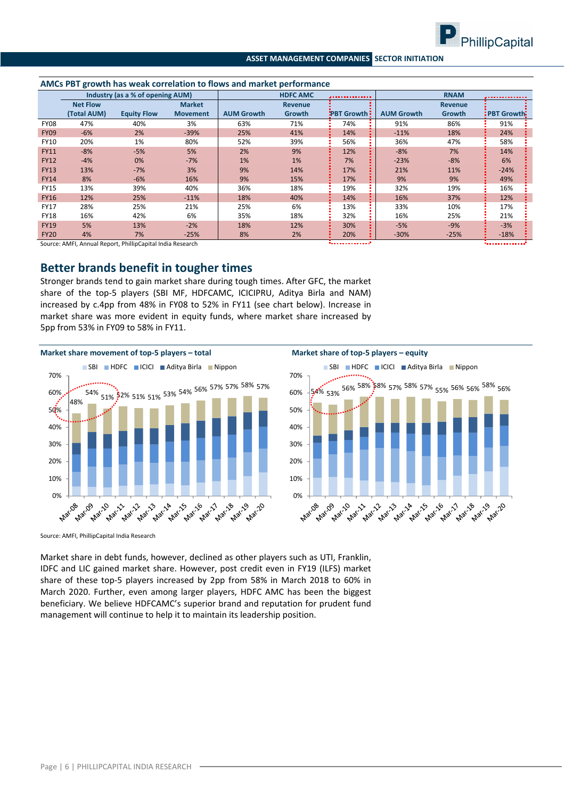

|             | AMCs PBT growth has weak correlation to flows and market performance |                                                           |                 |                   |                 |                    |                   |                |                      |  |  |  |
|-------------|----------------------------------------------------------------------|-----------------------------------------------------------|-----------------|-------------------|-----------------|--------------------|-------------------|----------------|----------------------|--|--|--|
|             |                                                                      | Industry (as a % of opening AUM)                          |                 |                   | <b>HDFC AMC</b> | ,,,,,,,,,,,,,,,    |                   | <b>RNAM</b>    |                      |  |  |  |
|             | <b>Net Flow</b>                                                      |                                                           | <b>Market</b>   |                   | <b>Revenue</b>  |                    |                   | <b>Revenue</b> |                      |  |  |  |
|             | (Total AUM)                                                          | <b>Equity Flow</b>                                        | <b>Movement</b> | <b>AUM Growth</b> | Growth          | <b>PBT Growth:</b> | <b>AUM Growth</b> | <b>Growth</b>  | <b>: PBT Growth:</b> |  |  |  |
| <b>FY08</b> | 47%                                                                  | 40%                                                       | 3%              | 63%               | 71%             | 74%                | 91%               | 86%            | 91%                  |  |  |  |
| <b>FY09</b> | $-6%$                                                                | 2%                                                        | $-39%$          | 25%               | 41%             | 14%                | $-11%$            | 18%            | 24%                  |  |  |  |
| <b>FY10</b> | 20%                                                                  | 1%                                                        | 80%             | 52%               | 39%             | 56%                | 36%               | 47%            | 58%                  |  |  |  |
| <b>FY11</b> | $-8%$                                                                | $-5%$                                                     | 5%              | 2%                | 9%              | 12%                | $-8%$             | 7%             | 14%                  |  |  |  |
| <b>FY12</b> | $-4%$                                                                | 0%                                                        | $-7%$           | 1%                | 1%              | 7%                 | $-23%$            | $-8%$          | 6%                   |  |  |  |
| <b>FY13</b> | 13%                                                                  | $-7%$                                                     | 3%              | 9%                | 14%             | 17%                | 21%               | 11%            | $-24%$               |  |  |  |
| <b>FY14</b> | 8%                                                                   | $-6%$                                                     | 16%             | 9%                | 15%             | 17%                | 9%                | 9%             | 49%                  |  |  |  |
| FY15        | 13%                                                                  | 39%                                                       | 40%             | 36%               | 18%             | 19%                | 32%               | 19%            | 16%                  |  |  |  |
| <b>FY16</b> | 12%                                                                  | 25%                                                       | $-11%$          | 18%               | 40%             | 14%                | 16%               | 37%            | 12%                  |  |  |  |
| <b>FY17</b> | 28%                                                                  | 25%                                                       | 21%             | 25%               | 6%              | 13%                | 33%               | 10%            | 17%                  |  |  |  |
| <b>FY18</b> | 16%                                                                  | 42%                                                       | 6%              | 35%               | 18%             | 32%                | 16%               | 25%            | 21%                  |  |  |  |
| <b>FY19</b> | 5%                                                                   | 13%                                                       | $-2%$           | 18%               | 12%             | 30%                | $-5%$             | $-9%$          | $-3%$                |  |  |  |
| <b>FY20</b> | 4%                                                                   | 7%                                                        | $-25%$          | 8%                | 2%              | 20%                | $-30%$            | $-25%$         | $-18%$               |  |  |  |
|             |                                                                      | Course: AMEL Annual Penert, DhillinCapital India Pessarsh |                 |                   |                 |                    |                   |                | .                    |  |  |  |

Source: AMFI, Annual Report, PhillipCapital India Research

### **Better brands benefit in tougher times**

Stronger brands tend to gain market share during tough times. After GFC, the market share of the top-5 players (SBI MF, HDFCAMC, ICICIPRU, Aditya Birla and NAM) increased by c.4pp from 48% in FY08 to 52% in FY11 (see chart below). Increase in market share was more evident in equity funds, where market share increased by 5pp from 53% in FY09 to 58% in FY11.



Source: AMFI, PhillipCapital India Research

Market share in debt funds, however, declined as other players such as UTI, Franklin, IDFC and LIC gained market share. However, post credit even in FY19 (ILFS) market share of these top‐5 players increased by 2pp from 58% in March 2018 to 60% in March 2020. Further, even among larger players, HDFC AMC has been the biggest beneficiary. We believe HDFCAMC's superior brand and reputation for prudent fund management will continue to help it to maintain its leadership position.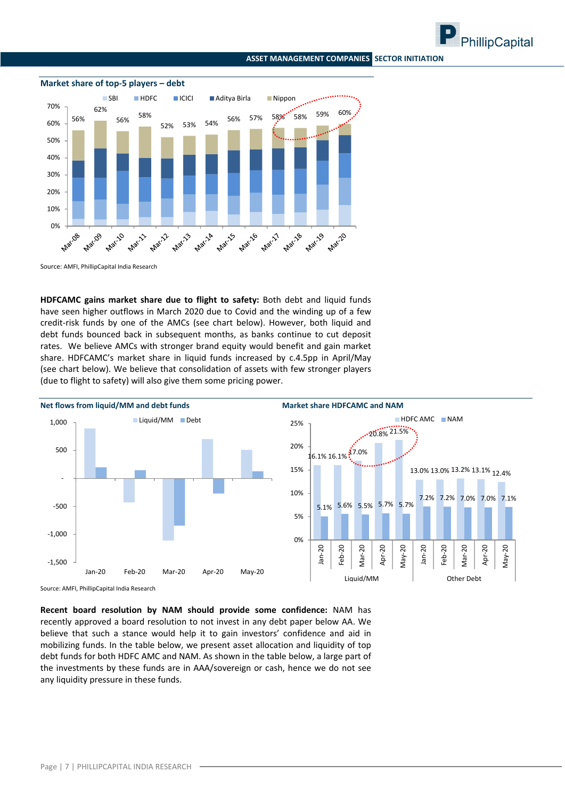





### **Market share of top‐5 players – debt**

Source: AMFI, PhillipCapital India Research

**HDFCAMC gains market share due to flight to safety:** Both debt and liquid funds have seen higher outflows in March 2020 due to Covid and the winding up of a few credit-risk funds by one of the AMCs (see chart below). However, both liquid and debt funds bounced back in subsequent months, as banks continue to cut deposit rates. We believe AMCs with stronger brand equity would benefit and gain market share. HDFCAMC's market share in liquid funds increased by c.4.5pp in April/May (see chart below). We believe that consolidation of assets with few stronger players (due to flight to safety) will also give them some pricing power.



Source: AMFI, PhillipCapital India Research

**Recent board resolution by NAM should provide some confidence:** NAM has recently approved a board resolution to not invest in any debt paper below AA. We believe that such a stance would help it to gain investors' confidence and aid in mobilizing funds. In the table below, we present asset allocation and liquidity of top debt funds for both HDFC AMC and NAM. As shown in the table below, a large part of the investments by these funds are in AAA/sovereign or cash, hence we do not see any liquidity pressure in these funds.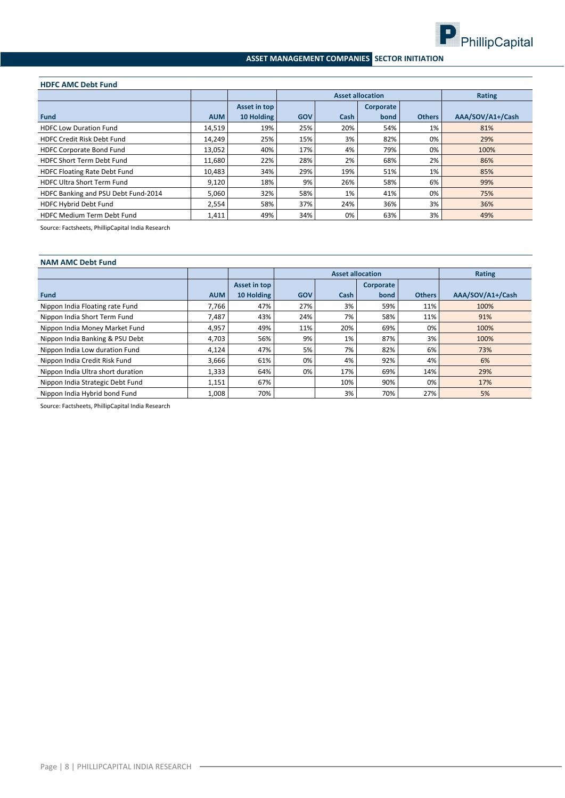

#### **HDFC AMC Debt Fund**

|                                     |            |              |            | <b>Asset allocation</b> | Rating    |               |                  |
|-------------------------------------|------------|--------------|------------|-------------------------|-----------|---------------|------------------|
|                                     |            | Asset in top |            |                         | Corporate |               |                  |
| <b>Fund</b>                         | <b>AUM</b> | 10 Holding   | <b>GOV</b> | Cash                    | bond      | <b>Others</b> | AAA/SOV/A1+/Cash |
| <b>HDFC Low Duration Fund</b>       | 14,519     | 19%          | 25%        | 20%                     | 54%       | 1%            | 81%              |
| <b>HDFC Credit Risk Debt Fund</b>   | 14,249     | 25%          | 15%        | 3%                      | 82%       | 0%            | 29%              |
| <b>HDFC Corporate Bond Fund</b>     | 13,052     | 40%          | 17%        | 4%                      | 79%       | 0%            | 100%             |
| <b>HDFC Short Term Debt Fund</b>    | 11.680     | 22%          | 28%        | 2%                      | 68%       | 2%            | 86%              |
| <b>HDFC Floating Rate Debt Fund</b> | 10,483     | 34%          | 29%        | 19%                     | 51%       | 1%            | 85%              |
| <b>HDFC Ultra Short Term Fund</b>   | 9,120      | 18%          | 9%         | 26%                     | 58%       | 6%            | 99%              |
| HDFC Banking and PSU Debt Fund-2014 | 5,060      | 32%          | 58%        | 1%                      | 41%       | 0%            | 75%              |
| HDFC Hybrid Debt Fund               | 2,554      | 58%          | 37%        | 24%                     | 36%       | 3%            | 36%              |
| <b>HDFC Medium Term Debt Fund</b>   | 1,411      | 49%          | 34%        | 0%                      | 63%       | 3%            | 49%              |

Source: Factsheets, PhillipCapital India Research

| <b>NAM AMC Debt Fund</b>          |            |              |            |                         |                  |               |                  |  |  |  |  |
|-----------------------------------|------------|--------------|------------|-------------------------|------------------|---------------|------------------|--|--|--|--|
|                                   |            |              |            | <b>Asset allocation</b> |                  |               | Rating           |  |  |  |  |
|                                   |            | Asset in top |            |                         | <b>Corporate</b> |               |                  |  |  |  |  |
| <b>Fund</b>                       | <b>AUM</b> | 10 Holding   | <b>GOV</b> | Cash                    | bond             | <b>Others</b> | AAA/SOV/A1+/Cash |  |  |  |  |
| Nippon India Floating rate Fund   | 7,766      | 47%          | 27%        | 3%                      | 59%              | 11%           | 100%             |  |  |  |  |
| Nippon India Short Term Fund      | 7,487      | 43%          | 24%        | 7%                      | 58%              | 11%           | 91%              |  |  |  |  |
| Nippon India Money Market Fund    | 4,957      | 49%          | 11%        | 20%                     | 69%              | 0%            | 100%             |  |  |  |  |
| Nippon India Banking & PSU Debt   | 4,703      | 56%          | 9%         | 1%                      | 87%              | 3%            | 100%             |  |  |  |  |
| Nippon India Low duration Fund    | 4.124      | 47%          | 5%         | 7%                      | 82%              | 6%            | 73%              |  |  |  |  |
| Nippon India Credit Risk Fund     | 3,666      | 61%          | 0%         | 4%                      | 92%              | 4%            | 6%               |  |  |  |  |
| Nippon India Ultra short duration | 1,333      | 64%          | 0%         | 17%                     | 69%              | 14%           | 29%              |  |  |  |  |
| Nippon India Strategic Debt Fund  | 1,151      | 67%          |            | 10%                     | 90%              | 0%            | 17%              |  |  |  |  |
| Nippon India Hybrid bond Fund     | 1,008      | 70%          |            | 3%                      | 70%              | 27%           | 5%               |  |  |  |  |

Source: Factsheets, PhillipCapital India Research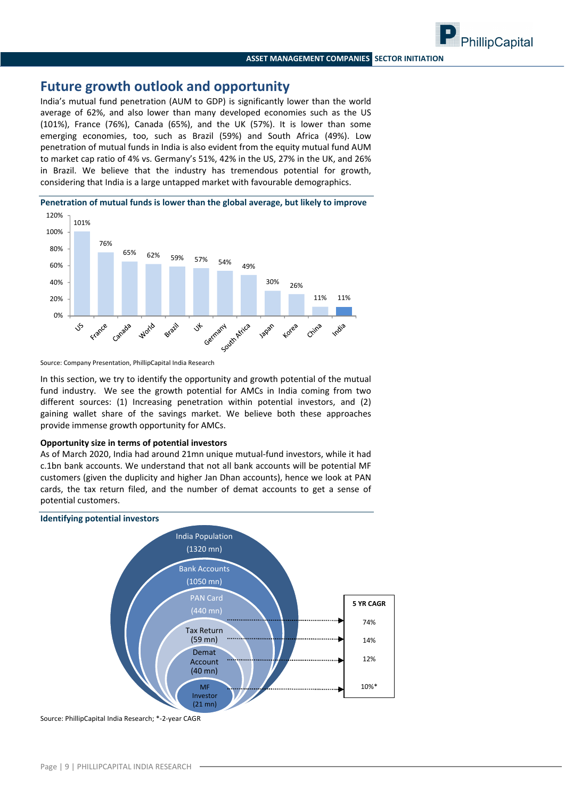PhillipCapital

### **Future growth outlook and opportunity**

India's mutual fund penetration (AUM to GDP) is significantly lower than the world average of 62%, and also lower than many developed economies such as the US (101%), France (76%), Canada (65%), and the UK (57%). It is lower than some emerging economies, too, such as Brazil (59%) and South Africa (49%). Low penetration of mutual funds in India is also evident from the equity mutual fund AUM to market cap ratio of 4% vs. Germany's 51%, 42% in the US, 27% in the UK, and 26% in Brazil. We believe that the industry has tremendous potential for growth, considering that India is a large untapped market with favourable demographics.





Source: Company Presentation, PhillipCapital India Research

In this section, we try to identify the opportunity and growth potential of the mutual fund industry. We see the growth potential for AMCs in India coming from two different sources: (1) Increasing penetration within potential investors, and (2) gaining wallet share of the savings market. We believe both these approaches provide immense growth opportunity for AMCs.

#### **Opportunity size in terms of potential investors**

As of March 2020, India had around 21mn unique mutual‐fund investors, while it had c.1bn bank accounts. We understand that not all bank accounts will be potential MF customers (given the duplicity and higher Jan Dhan accounts), hence we look at PAN cards, the tax return filed, and the number of demat accounts to get a sense of potential customers.



Source: PhillipCapital India Research; \*‐2‐year CAGR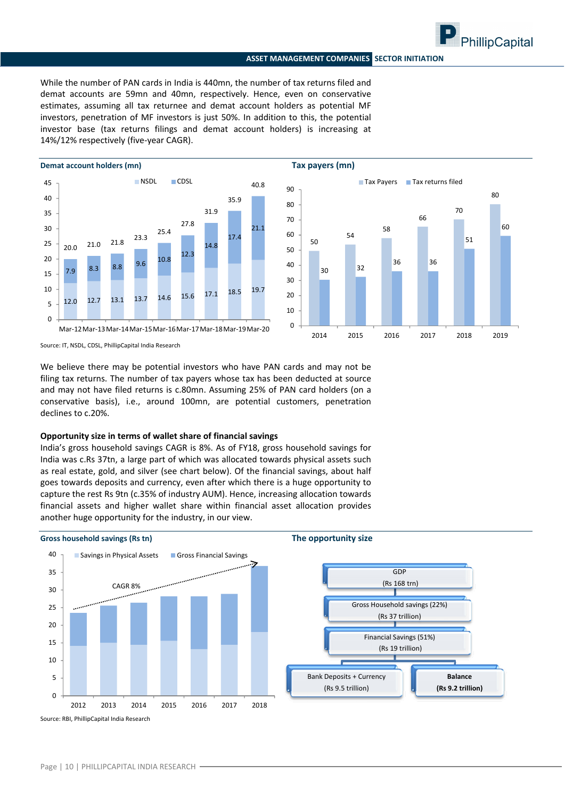

While the number of PAN cards in India is 440mn, the number of tax returns filed and demat accounts are 59mn and 40mn, respectively. Hence, even on conservative estimates, assuming all tax returnee and demat account holders as potential MF investors, penetration of MF investors is just 50%. In addition to this, the potential investor base (tax returns filings and demat account holders) is increasing at 14%/12% respectively (five‐year CAGR).





Source: IT, NSDL, CDSL, PhillipCapital India Research

We believe there may be potential investors who have PAN cards and may not be filing tax returns. The number of tax payers whose tax has been deducted at source and may not have filed returns is c.80mn. Assuming 25% of PAN card holders (on a conservative basis), i.e., around 100mn, are potential customers, penetration declines to c.20%.

#### **Opportunity size in terms of wallet share of financial savings**

India's gross household savings CAGR is 8%. As of FY18, gross household savings for India was c.Rs 37tn, a large part of which was allocated towards physical assets such as real estate, gold, and silver (see chart below). Of the financial savings, about half goes towards deposits and currency, even after which there is a huge opportunity to capture the rest Rs 9tn (c.35% of industry AUM). Hence, increasing allocation towards financial assets and higher wallet share within financial asset allocation provides another huge opportunity for the industry, in our view.

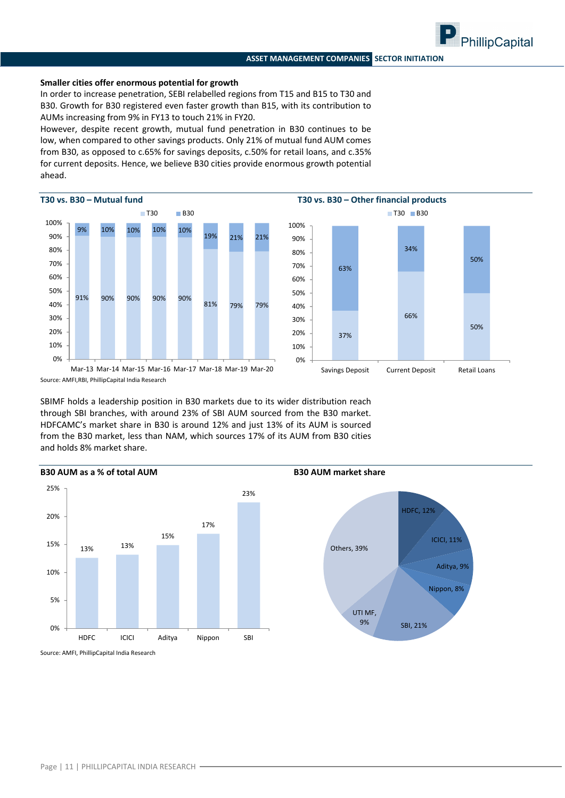#### **Smaller cities offer enormous potential for growth**

In order to increase penetration, SEBI relabelled regions from T15 and B15 to T30 and B30. Growth for B30 registered even faster growth than B15, with its contribution to AUMs increasing from 9% in FY13 to touch 21% in FY20.

However, despite recent growth, mutual fund penetration in B30 continues to be low, when compared to other savings products. Only 21% of mutual fund AUM comes from B30, as opposed to c.65% for savings deposits, c.50% for retail loans, and c.35% for current deposits. Hence, we believe B30 cities provide enormous growth potential ahead.





PhillipCapital

Source: AMFI,RBI, PhillipCapital India Research Mar‐13 Mar‐14 Mar‐15 Mar‐16 Mar‐17 Mar‐18 Mar‐19 Mar‐20

SBIMF holds a leadership position in B30 markets due to its wider distribution reach through SBI branches, with around 23% of SBI AUM sourced from the B30 market. HDFCAMC's market share in B30 is around 12% and just 13% of its AUM is sourced from the B30 market, less than NAM, which sources 17% of its AUM from B30 cities and holds 8% market share.

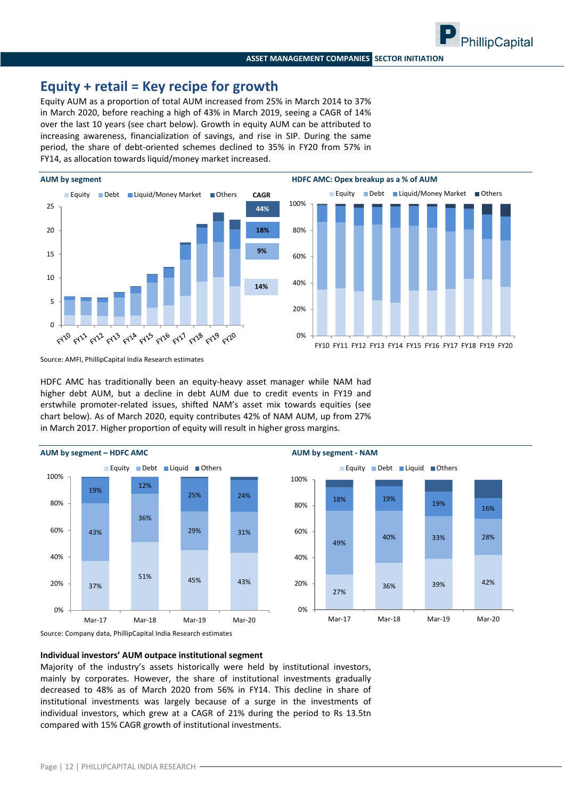### **Equity + retail = Key recipe for growth**

Equity AUM as a proportion of total AUM increased from 25% in March 2014 to 37% in March 2020, before reaching a high of 43% in March 2019, seeing a CAGR of 14% over the last 10 years (see chart below). Growth in equity AUM can be attributed to increasing awareness, financialization of savings, and rise in SIP. During the same period, the share of debt-oriented schemes declined to 35% in FY20 from 57% in FY14, as allocation towards liquid/money market increased.





Source: AMFI, PhillipCapital India Research estimates

HDFC AMC has traditionally been an equity-heavy asset manager while NAM had higher debt AUM, but a decline in debt AUM due to credit events in FY19 and erstwhile promoter‐related issues, shifted NAM's asset mix towards equities (see chart below). As of March 2020, equity contributes 42% of NAM AUM, up from 27% in March 2017. Higher proportion of equity will result in higher gross margins.



Source: Company data, PhillipCapital India Research estimates

#### **Individual investors' AUM outpace institutional segment**

Majority of the industry's assets historically were held by institutional investors, mainly by corporates. However, the share of institutional investments gradually decreased to 48% as of March 2020 from 56% in FY14. This decline in share of institutional investments was largely because of a surge in the investments of individual investors, which grew at a CAGR of 21% during the period to Rs 13.5tn compared with 15% CAGR growth of institutional investments.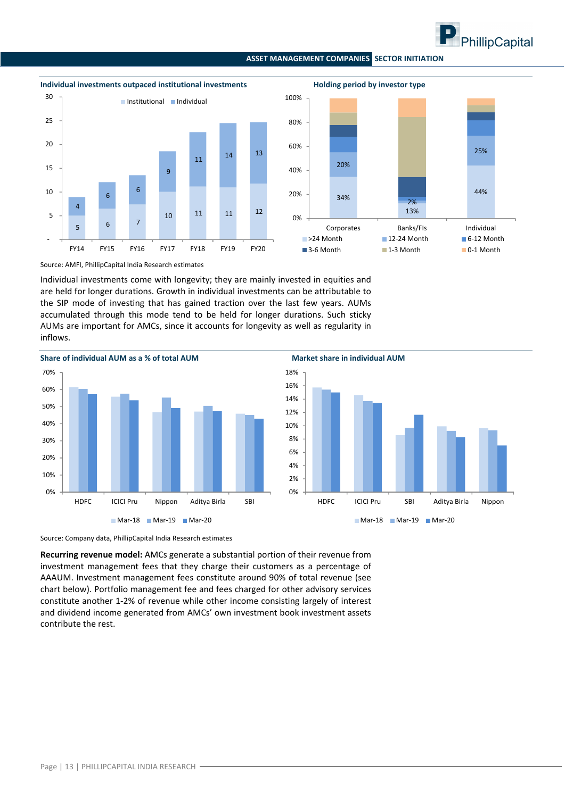



Source: AMFI, PhillipCapital India Research estimates

Individual investments come with longevity; they are mainly invested in equities and are held for longer durations. Growth in individual investments can be attributable to the SIP mode of investing that has gained traction over the last few years. AUMs accumulated through this mode tend to be held for longer durations. Such sticky AUMs are important for AMCs, since it accounts for longevity as well as regularity in inflows.



Source: Company data, PhillipCapital India Research estimates

**Recurring revenue model:** AMCs generate a substantial portion of their revenue from investment management fees that they charge their customers as a percentage of AAAUM. Investment management fees constitute around 90% of total revenue (see chart below). Portfolio management fee and fees charged for other advisory services constitute another 1‐2% of revenue while other income consisting largely of interest and dividend income generated from AMCs' own investment book investment assets contribute the rest.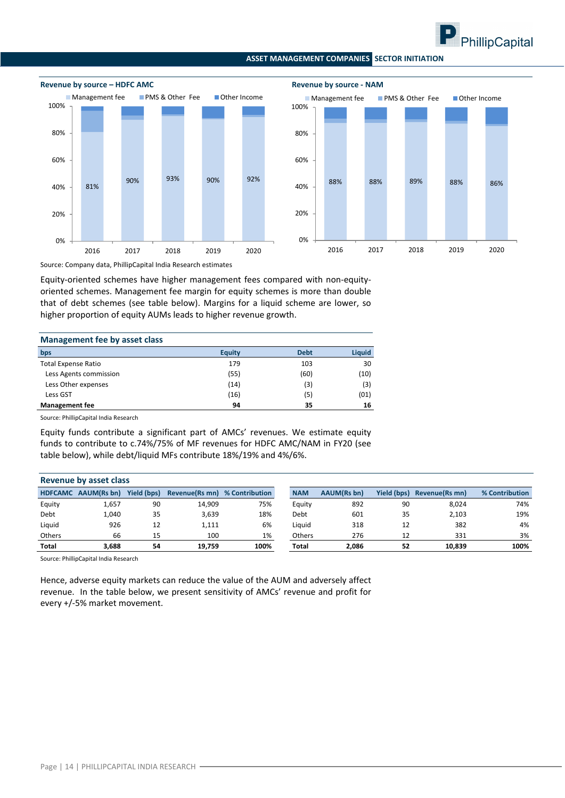



Source: Company data, PhillipCapital India Research estimates

Equity‐oriented schemes have higher management fees compared with non‐equity‐ oriented schemes. Management fee margin for equity schemes is more than double that of debt schemes (see table below). Margins for a liquid scheme are lower, so higher proportion of equity AUMs leads to higher revenue growth.

| Management fee by asset class |               |             |        |  |  |  |  |  |  |
|-------------------------------|---------------|-------------|--------|--|--|--|--|--|--|
| bps                           | <b>Equity</b> | <b>Debt</b> | Liquid |  |  |  |  |  |  |
| <b>Total Expense Ratio</b>    | 179           | 103         | 30     |  |  |  |  |  |  |
| Less Agents commission        | (55)          | (60)        | (10)   |  |  |  |  |  |  |
| Less Other expenses           | (14)          | (3)         | (3)    |  |  |  |  |  |  |
| Less GST                      | (16)          | (5)         | (01)   |  |  |  |  |  |  |
| <b>Management fee</b>         | 94            | 35          | 16     |  |  |  |  |  |  |

Source: PhillipCapital India Research

Equity funds contribute a significant part of AMCs' revenues. We estimate equity funds to contribute to c.74%/75% of MF revenues for HDFC AMC/NAM in FY20 (see table below), while debt/liquid MFs contribute 18%/19% and 4%/6%.

|                | Revenue by asset class |                    |                |                |               |                    |                    |                |                |
|----------------|------------------------|--------------------|----------------|----------------|---------------|--------------------|--------------------|----------------|----------------|
| <b>HDFCAMC</b> | AAUM(Rs bn)            | <b>Yield (bps)</b> | Revenue(Rs mn) | % Contribution | <b>NAM</b>    | <b>AAUM(Rs bn)</b> | <b>Yield (bps)</b> | Revenue(Rs mn) | % Contribution |
| Equity         | 1,657                  | 90                 | 14,909         | 75%            | Equity        | 892                | 90                 | 8,024          | 74%            |
| Debt           | 1,040                  | 35                 | 3,639          | 18%            | Debt          | 601                | 35                 | 2,103          | 19%            |
| Liquid         | 926                    | 12                 | 1,111          | 6%             | Liauid        | 318                | 12                 | 382            | 4%             |
| <b>Others</b>  | 66                     | 15                 | 100            | 1%             | <b>Others</b> | 276                | 12                 | 331            | 3%             |
| <b>Total</b>   | 3.688                  | 54                 | 19.759         | 100%           | <b>Total</b>  | 2.086              | 52                 | 10,839         | 100%           |

Source: PhillipCapital India Research

Hence, adverse equity markets can reduce the value of the AUM and adversely affect revenue. In the table below, we present sensitivity of AMCs' revenue and profit for every +/‐5% market movement.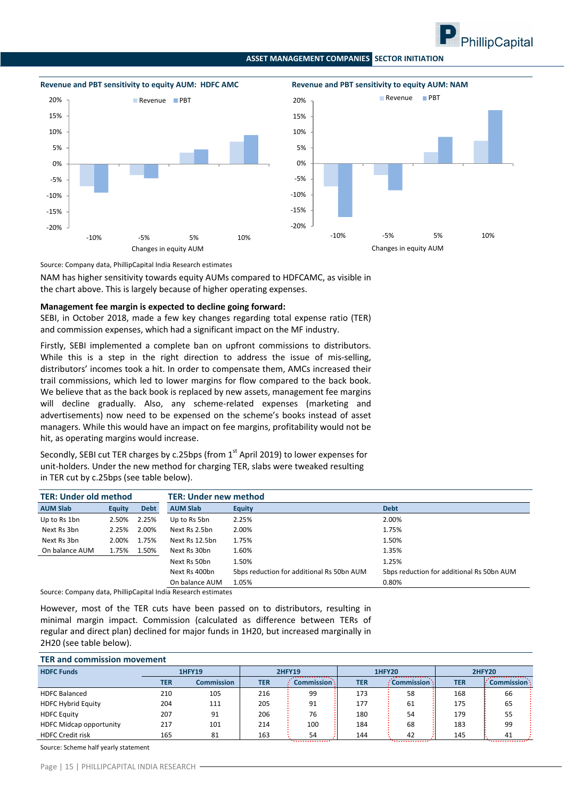







Source: Company data, PhillipCapital India Research estimates

NAM has higher sensitivity towards equity AUMs compared to HDFCAMC, as visible in the chart above. This is largely because of higher operating expenses.

#### **Management fee margin is expected to decline going forward:**

SEBI, in October 2018, made a few key changes regarding total expense ratio (TER) and commission expenses, which had a significant impact on the MF industry.

Firstly, SEBI implemented a complete ban on upfront commissions to distributors. While this is a step in the right direction to address the issue of mis-selling, distributors' incomes took a hit. In order to compensate them, AMCs increased their trail commissions, which led to lower margins for flow compared to the back book. We believe that as the back book is replaced by new assets, management fee margins will decline gradually. Also, any scheme-related expenses (marketing and advertisements) now need to be expensed on the scheme's books instead of asset managers. While this would have an impact on fee margins, profitability would not be hit, as operating margins would increase.

Secondly, SEBI cut TER charges by c.25bps (from 1<sup>st</sup> April 2019) to lower expenses for unit‐holders. Under the new method for charging TER, slabs were tweaked resulting in TER cut by c.25bps (see table below).

| <b>TER: Under old method</b> |               |             | <b>TER: Under new method</b> |                                           |                                           |  |  |  |
|------------------------------|---------------|-------------|------------------------------|-------------------------------------------|-------------------------------------------|--|--|--|
| <b>AUM Slab</b>              | <b>Equity</b> | <b>Debt</b> | <b>AUM Slab</b>              | <b>Equity</b>                             | <b>Debt</b>                               |  |  |  |
| Up to Rs 1bn                 | 2.50%         | 2.25%       | Up to Rs 5bn                 | 2.25%                                     | 2.00%                                     |  |  |  |
| Next Rs 3bn                  | 2.25%         | 2.00%       | Next Rs 2.5bn                | 2.00%                                     | 1.75%                                     |  |  |  |
| Next Rs 3bn                  | 2.00%         | 1.75%       | Next Rs 12.5bn               | 1.75%                                     | 1.50%                                     |  |  |  |
| On balance AUM               | 1.75%         | 1.50%       | Next Rs 30bn                 | 1.60%                                     | 1.35%                                     |  |  |  |
|                              |               |             | Next Rs 50bn                 | 1.50%                                     | 1.25%                                     |  |  |  |
|                              |               |             | Next Rs 400bn                | 5bps reduction for additional Rs 50bn AUM | 5bps reduction for additional Rs 50bn AUM |  |  |  |
|                              |               |             | On balance AUM               | 1.05%                                     | 0.80%                                     |  |  |  |

Source: Company data, PhillipCapital India Research estimates

However, most of the TER cuts have been passed on to distributors, resulting in minimal margin impact. Commission (calculated as difference between TERs of regular and direct plan) declined for major funds in 1H20, but increased marginally in 2H20 (see table below).

| <b>TER and commission movement</b> |               |                   |               |             |               |                    |               |             |  |  |  |
|------------------------------------|---------------|-------------------|---------------|-------------|---------------|--------------------|---------------|-------------|--|--|--|
| <b>HDFC Funds</b>                  | <b>1HFY19</b> |                   | <b>2HFY19</b> |             | <b>1HFY20</b> |                    | <b>2HFY20</b> |             |  |  |  |
|                                    | <b>TER</b>    | <b>Commission</b> | <b>TER</b>    | Commission: | <b>TER</b>    | $:$ Commission $:$ | <b>TER</b>    | Commission: |  |  |  |
| <b>HDFC Balanced</b>               | 210           | 105               | 216           | 99          | 173           | 58                 | 168           | 66          |  |  |  |
| <b>HDFC Hybrid Equity</b>          | 204           | 111               | 205           | 91          | 177           | 61                 | 175           | 65          |  |  |  |
| <b>HDFC Equity</b>                 | 207           | 91                | 206           | 76          | 180           | 54                 | 179           | 55          |  |  |  |
| <b>HDFC Midcap opportunity</b>     | 217           | 101               | 214           | 100         | 184           | 68                 | 183           | 99          |  |  |  |
| <b>HDFC Credit risk</b>            | 165           | 81                | 163           | 54          | 144           | 42                 | 145           | 41          |  |  |  |

Source: Scheme half yearly statement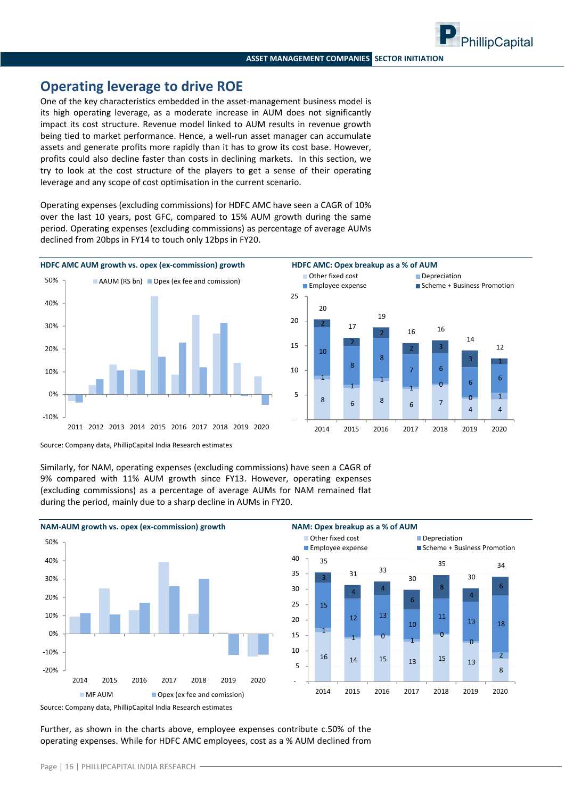### **Operating leverage to drive ROE**

One of the key characteristics embedded in the asset-management business model is its high operating leverage, as a moderate increase in AUM does not significantly impact its cost structure. Revenue model linked to AUM results in revenue growth being tied to market performance. Hence, a well-run asset manager can accumulate assets and generate profits more rapidly than it has to grow its cost base. However, profits could also decline faster than costs in declining markets. In this section, we try to look at the cost structure of the players to get a sense of their operating leverage and any scope of cost optimisation in the current scenario.

Operating expenses (excluding commissions) for HDFC AMC have seen a CAGR of 10% over the last 10 years, post GFC, compared to 15% AUM growth during the same period. Operating expenses (excluding commissions) as percentage of average AUMs declined from 20bps in FY14 to touch only 12bps in FY20.





Source: Company data, PhillipCapital India Research estimates

Similarly, for NAM, operating expenses (excluding commissions) have seen a CAGR of 9% compared with 11% AUM growth since FY13. However, operating expenses (excluding commissions) as a percentage of average AUMs for NAM remained flat during the period, mainly due to a sharp decline in AUMs in FY20.



Further, as shown in the charts above, employee expenses contribute c.50% of the operating expenses. While for HDFC AMC employees, cost as a % AUM declined from

PhillipCapital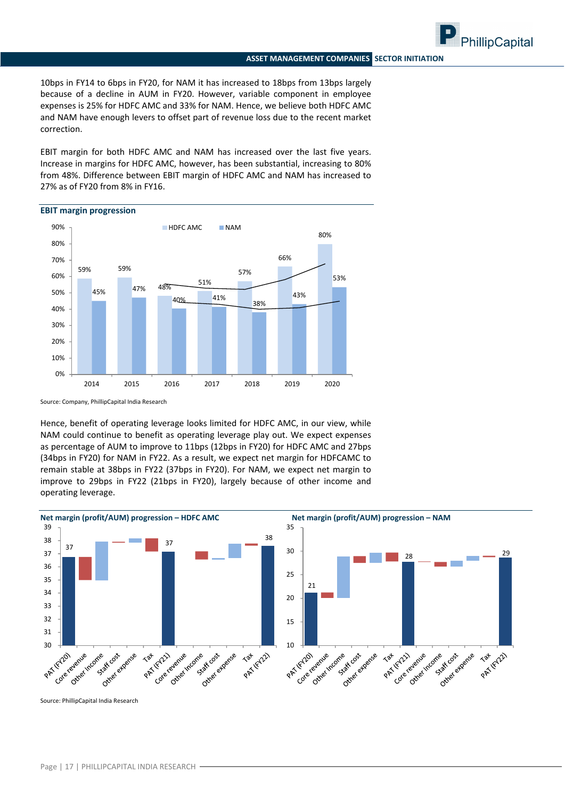PhillipCapital

10bps in FY14 to 6bps in FY20, for NAM it has increased to 18bps from 13bps largely because of a decline in AUM in FY20. However, variable component in employee expenses is 25% for HDFC AMC and 33% for NAM. Hence, we believe both HDFC AMC and NAM have enough levers to offset part of revenue loss due to the recent market correction.

EBIT margin for both HDFC AMC and NAM has increased over the last five years. Increase in margins for HDFC AMC, however, has been substantial, increasing to 80% from 48%. Difference between EBIT margin of HDFC AMC and NAM has increased to 27% as of FY20 from 8% in FY16.





Source: Company, PhillipCapital India Research

Hence, benefit of operating leverage looks limited for HDFC AMC, in our view, while NAM could continue to benefit as operating leverage play out. We expect expenses as percentage of AUM to improve to 11bps (12bps in FY20) for HDFC AMC and 27bps (34bps in FY20) for NAM in FY22. As a result, we expect net margin for HDFCAMC to remain stable at 38bps in FY22 (37bps in FY20). For NAM, we expect net margin to improve to 29bps in FY22 (21bps in FY20), largely because of other income and operating leverage.



Source: PhillipCapital India Research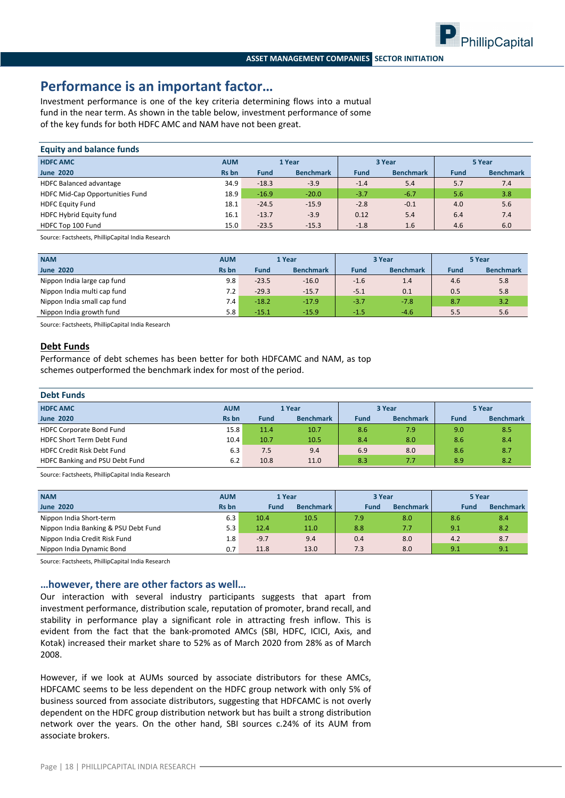

### **Performance is an important factor…**

Investment performance is one of the key criteria determining flows into a mutual fund in the near term. As shown in the table below, investment performance of some of the key funds for both HDFC AMC and NAM have not been great.

| <b>Equity and balance funds</b> |              |             |                  |             |                  |             |                  |
|---------------------------------|--------------|-------------|------------------|-------------|------------------|-------------|------------------|
| <b>HDFC AMC</b>                 | <b>AUM</b>   | 1 Year      |                  | 3 Year      |                  | 5 Year      |                  |
| <b>June 2020</b>                | <b>Rs</b> bn | <b>Fund</b> | <b>Benchmark</b> | <b>Fund</b> | <b>Benchmark</b> | <b>Fund</b> | <b>Benchmark</b> |
| <b>HDFC Balanced advantage</b>  | 34.9         | $-18.3$     | $-3.9$           | $-1.4$      | 5.4              | 5.7         | 7.4              |
| HDFC Mid-Cap Opportunities Fund | 18.9         | $-16.9$     | $-20.0$          | $-3.7$      | $-6.7$           | 5.6         | 3.8              |
| <b>HDFC Equity Fund</b>         | 18.1         | $-24.5$     | $-15.9$          | $-2.8$      | $-0.1$           | 4.0         | 5.6              |
| HDFC Hybrid Equity fund         | 16.1         | $-13.7$     | $-3.9$           | 0.12        | 5.4              | 6.4         | 7.4              |
| HDFC Top 100 Fund               | 15.0         | $-23.5$     | $-15.3$          | $-1.8$      | 1.6              | 4.6         | 6.0              |

Source: Factsheets, PhillipCapital India Research

| <b>NAM</b>                  | <b>AUM</b>   | 1 Year      |                  | 3 Year |                  | 5 Year      |                  |
|-----------------------------|--------------|-------------|------------------|--------|------------------|-------------|------------------|
| <b>June 2020</b>            | <b>Rs</b> bn | <b>Fund</b> | <b>Benchmark</b> | Fund   | <b>Benchmark</b> | <b>Fund</b> | <b>Benchmark</b> |
| Nippon India large cap fund | 9.8          | $-23.5$     | $-16.0$          | $-1.6$ | 1.4              | 4.6         | 5.8              |
| Nippon India multi cap fund | 7.2          | $-29.3$     | $-15.7$          | $-5.1$ | 0.1              | 0.5         | 5.8              |
| Nippon India small cap fund | 7.4          | $-18.2$     | $-17.9$          | $-3.7$ | $-7.8$           | 8.7         | 3.2              |
| Nippon India growth fund    | 5.8          | $-15.1$     | $-15.9$          | $-1.5$ | $-4.6$           | 5.5         | 5.6              |

Source: Factsheets, PhillipCapital India Research

#### **Debt Funds**

Performance of debt schemes has been better for both HDFCAMC and NAM, as top schemes outperformed the benchmark index for most of the period.

| <b>Debt Funds</b>                 |              |             |                  |             |                  |             |                  |  |
|-----------------------------------|--------------|-------------|------------------|-------------|------------------|-------------|------------------|--|
| <b>HDFC AMC</b>                   | <b>AUM</b>   |             | 1 Year           |             | 3 Year           |             | 5 Year           |  |
| <b>June 2020</b>                  | <b>Rs</b> bn | <b>Fund</b> | <b>Benchmark</b> | <b>Fund</b> | <b>Benchmark</b> | <b>Fund</b> | <b>Benchmark</b> |  |
| <b>HDFC Corporate Bond Fund</b>   | 15.8         | 11.4        | 10.7             | 8.6         | 7.9              | 9.0         | 8.5              |  |
| <b>HDFC Short Term Debt Fund</b>  | 10.4         | 10.7        | 10.5             | 8.4         | 8.0              | 8.6         | 8.4              |  |
| <b>HDFC Credit Risk Debt Fund</b> | 6.3          | 7.5         | 9.4              | 6.9         | 8.0              | 8.6         | 8.7              |  |
| HDFC Banking and PSU Debt Fund    | 6.2          | 10.8        | 11.0             | 8.3         | 7.7              | 8.9         | 8.2              |  |

Source: Factsheets, PhillipCapital India Research

| <b>NAM</b>                           | <b>AUM</b>   | 1 Year      |                  | 3 Year |                  | 5 Year |                  |
|--------------------------------------|--------------|-------------|------------------|--------|------------------|--------|------------------|
| <b>June 2020</b>                     | <b>Rs</b> bn | <b>Fund</b> | <b>Benchmark</b> | Fund   | <b>Benchmark</b> | Fund   | <b>Benchmark</b> |
| Nippon India Short-term              | 6.3          | 10.4        | 10.5             | 7.9    | 8.0              | 8.6    | 8.4              |
| Nippon India Banking & PSU Debt Fund | 5.3          | 12.4        | 11.0             | 8.8    | 7.7              | 9.1    | 8.2              |
| Nippon India Credit Risk Fund        | 1.8          | $-9.7$      | 9.4              | 0.4    | 8.0              | 4.2    | 8.7              |
| Nippon India Dynamic Bond            | 0.7          | 11.8        | 13.0             | 7.3    | 8.0              | 9.1    | 9.1              |

Source: Factsheets, PhillipCapital India Research

#### **…however, there are other factors as well…**

Our interaction with several industry participants suggests that apart from investment performance, distribution scale, reputation of promoter, brand recall, and stability in performance play a significant role in attracting fresh inflow. This is evident from the fact that the bank‐promoted AMCs (SBI, HDFC, ICICI, Axis, and Kotak) increased their market share to 52% as of March 2020 from 28% as of March 2008.

However, if we look at AUMs sourced by associate distributors for these AMCs, HDFCAMC seems to be less dependent on the HDFC group network with only 5% of business sourced from associate distributors, suggesting that HDFCAMC is not overly dependent on the HDFC group distribution network but has built a strong distribution network over the years. On the other hand, SBI sources c.24% of its AUM from associate brokers.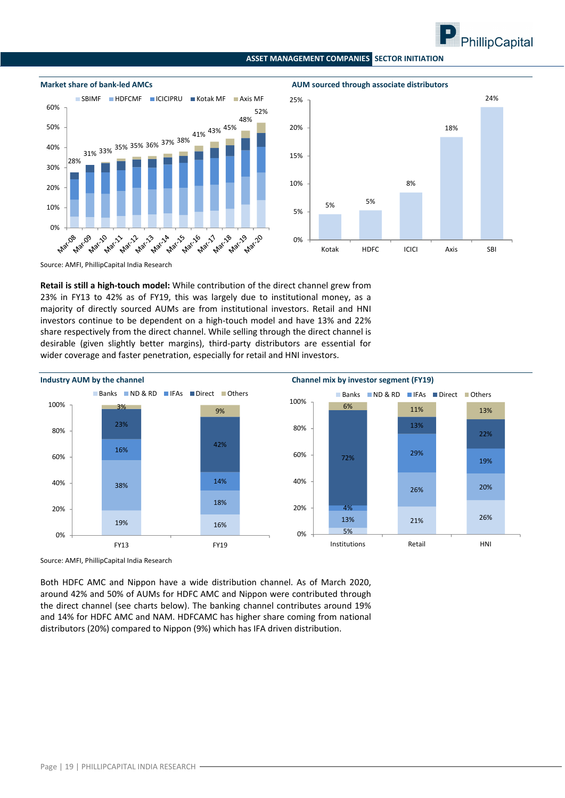





Source: AMFI, PhillipCapital India Research

**Retail is still a high‐touch model:** While contribution of the direct channel grew from 23% in FY13 to 42% as of FY19, this was largely due to institutional money, as a majority of directly sourced AUMs are from institutional investors. Retail and HNI investors continue to be dependent on a high‐touch model and have 13% and 22% share respectively from the direct channel. While selling through the direct channel is desirable (given slightly better margins), third‐party distributors are essential for wider coverage and faster penetration, especially for retail and HNI investors.



Source: AMFI, PhillipCapital India Research

Both HDFC AMC and Nippon have a wide distribution channel. As of March 2020, around 42% and 50% of AUMs for HDFC AMC and Nippon were contributed through the direct channel (see charts below). The banking channel contributes around 19% and 14% for HDFC AMC and NAM. HDFCAMC has higher share coming from national distributors (20%) compared to Nippon (9%) which has IFA driven distribution.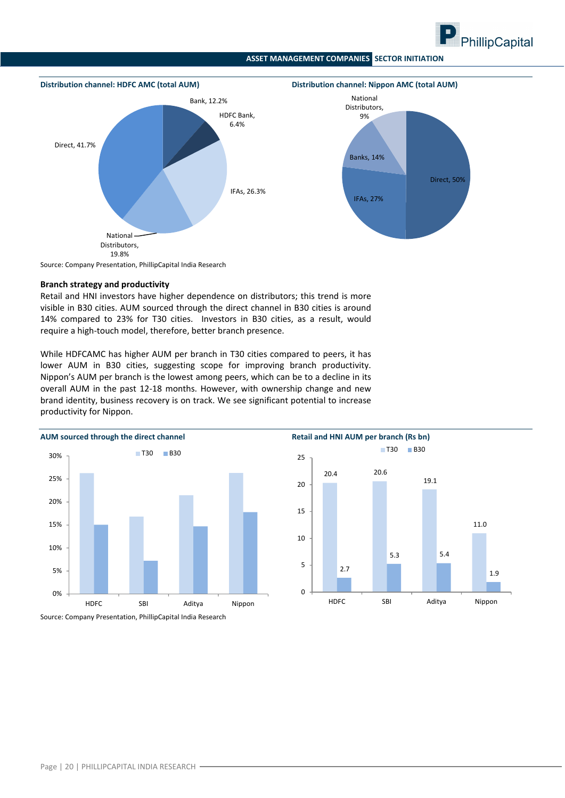



#### **Branch strategy and productivity**

Retail and HNI investors have higher dependence on distributors; this trend is more visible in B30 cities. AUM sourced through the direct channel in B30 cities is around 14% compared to 23% for T30 cities. Investors in B30 cities, as a result, would require a high‐touch model, therefore, better branch presence.

While HDFCAMC has higher AUM per branch in T30 cities compared to peers, it has lower AUM in B30 cities, suggesting scope for improving branch productivity. Nippon's AUM per branch is the lowest among peers, which can be to a decline in its overall AUM in the past 12‐18 months. However, with ownership change and new brand identity, business recovery is on track. We see significant potential to increase productivity for Nippon.





Source: Company Presentation, PhillipCapital India Research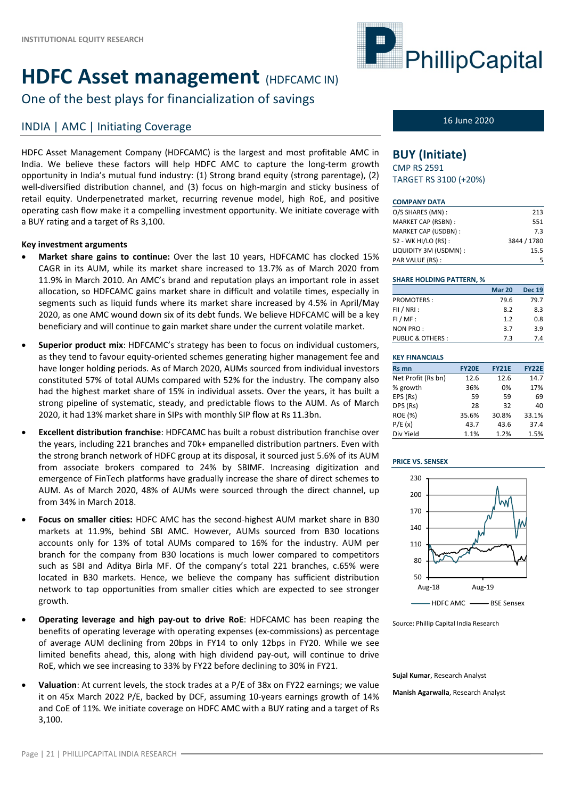# **HDFC** Asset management (HDFCAMC IN)

One of the best plays for financialization of savings

## INDIA | AMC | Initiating Coverage 16 June 2020

HDFC Asset Management Company (HDFCAMC) is the largest and most profitable AMC in India. We believe these factors will help HDFC AMC to capture the long-term growth opportunity in India's mutual fund industry: (1) Strong brand equity (strong parentage), (2) well-diversified distribution channel, and (3) focus on high-margin and sticky business of retail equity. Underpenetrated market, recurring revenue model, high RoE, and positive operating cash flow make it a compelling investment opportunity. We initiate coverage with a BUY rating and a target of Rs 3,100.

### **Key investment arguments**

- **Market share gains to continue:** Over the last 10 years, HDFCAMC has clocked 15% CAGR in its AUM, while its market share increased to 13.7% as of March 2020 from 11.9% in March 2010. An AMC's brand and reputation plays an important role in asset allocation, so HDFCAMC gains market share in difficult and volatile times, especially in segments such as liquid funds where its market share increased by 4.5% in April/May 2020, as one AMC wound down six of its debt funds. We believe HDFCAMC will be a key beneficiary and will continue to gain market share under the current volatile market.
- **Superior product mix**: HDFCAMC's strategy has been to focus on individual customers, as they tend to favour equity‐oriented schemes generating higher management fee and have longer holding periods. As of March 2020, AUMs sourced from individual investors constituted 57% of total AUMs compared with 52% for the industry. The company also had the highest market share of 15% in individual assets. Over the years, it has built a strong pipeline of systematic, steady, and predictable flows to the AUM. As of March 2020, it had 13% market share in SIPs with monthly SIP flow at Rs 11.3bn.
- **Excellent distribution franchise**: HDFCAMC has built a robust distribution franchise over the years, including 221 branches and 70k+ empanelled distribution partners. Even with the strong branch network of HDFC group at its disposal, it sourced just 5.6% of its AUM from associate brokers compared to 24% by SBIMF. Increasing digitization and emergence of FinTech platforms have gradually increase the share of direct schemes to AUM. As of March 2020, 48% of AUMs were sourced through the direct channel, up from 34% in March 2018.
- **Focus on smaller cities:** HDFC AMC has the second‐highest AUM market share in B30 markets at 11.9%, behind SBI AMC. However, AUMs sourced from B30 locations accounts only for 13% of total AUMs compared to 16% for the industry. AUM per branch for the company from B30 locations is much lower compared to competitors such as SBI and Aditya Birla MF. Of the company's total 221 branches, c.65% were located in B30 markets. Hence, we believe the company has sufficient distribution network to tap opportunities from smaller cities which are expected to see stronger growth.
- **Operating leverage and high pay‐out to drive RoE**: HDFCAMC has been reaping the benefits of operating leverage with operating expenses (ex‐commissions) as percentage of average AUM declining from 20bps in FY14 to only 12bps in FY20. While we see limited benefits ahead, this, along with high dividend pay‐out, will continue to drive RoE, which we see increasing to 33% by FY22 before declining to 30% in FY21.
- **Valuation**: At current levels, the stock trades at a P/E of 38x on FY22 earnings; we value it on 45x March 2022 P/E, backed by DCF, assuming 10‐years earnings growth of 14% and CoE of 11%. We initiate coverage on HDFC AMC with a BUY rating and a target of Rs 3,100.



### **BUY (Initiate)**

CMP RS 2591 TARGET RS 3100 (+20%)

#### **COMPANY DATA**

| O/S SHARES (MN):      | 213         |
|-----------------------|-------------|
| MARKET CAP (RSBN):    | 551         |
| MARKET CAP (USDBN):   | 7.3         |
| 52 - WK HI/LO (RS) :  | 3844 / 1780 |
| LIQUIDITY 3M (USDMN): | 15.5        |
| PAR VALUE (RS):       | 5           |

#### **SHARE HOLDING PATTERN, %**

|                             | <b>Mar 20</b> | <b>Dec 19</b> |
|-----------------------------|---------------|---------------|
| <b>PROMOTERS:</b>           | 79.6          | 79.7          |
| FII / NRI:                  | 8.2           | 8.3           |
| $FI/MF$ :                   | 1.2           | 0.8           |
| NON PRO:                    | 3.7           | 3.9           |
| <b>PUBLIC &amp; OTHERS:</b> | 7.3           | 7.4           |
|                             |               |               |

| <b>KEY FINANCIALS</b> |              |              |              |
|-----------------------|--------------|--------------|--------------|
| <b>Rs mn</b>          | <b>FY20E</b> | <b>FY21E</b> | <b>FY22E</b> |
| Net Profit (Rs bn)    | 12.6         | 12.6         | 14.7         |
| % growth              | 36%          | 0%           | 17%          |
| EPS (Rs)              | 59           | 59           | 69           |
| DPS (Rs)              | 28           | 32           | 40           |
| <b>ROE (%)</b>        | 35.6%        | 30.8%        | 33.1%        |
| P/E(x)                | 43.7         | 43.6         | 37.4         |
| Div Yield             | 1.1%         | 1.2%         | 1.5%         |

#### **PRICE VS. SENSEX**



Source: Phillip Capital India Research

**Sujal Kumar**, Research Analyst

**Manish Agarwalla**, Research Analyst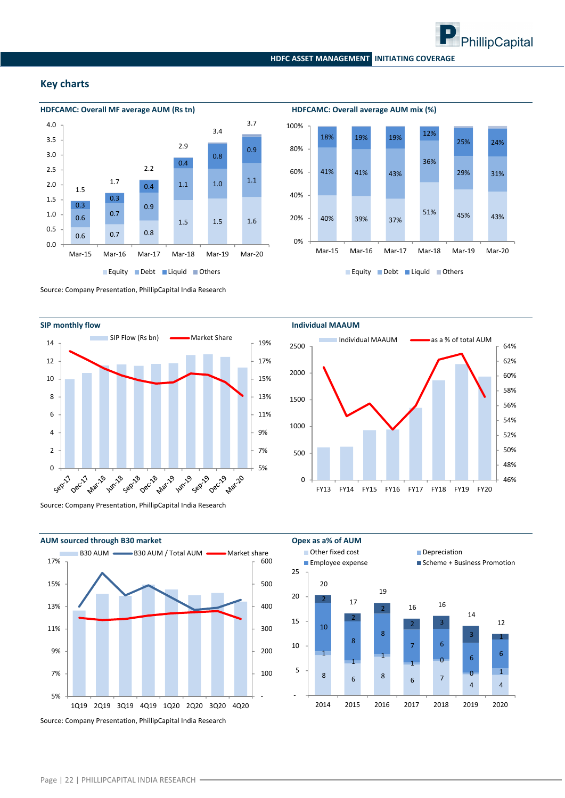

#### **Key charts**



Source: Company Presentation, PhillipCapital India Research



Source: Company Presentation, PhillipCapital India Research



40% 39% 37% 51% 45% 43% 41% 41% 43% 36% 29% 31% 18% 19% 19% 12% 25% 24% 0% 20% 40% 60% 80% 100% Mar‐15 Mar‐16 Mar‐17 Mar‐18 Mar‐19 Mar‐20

Equity Debt Liquid Others



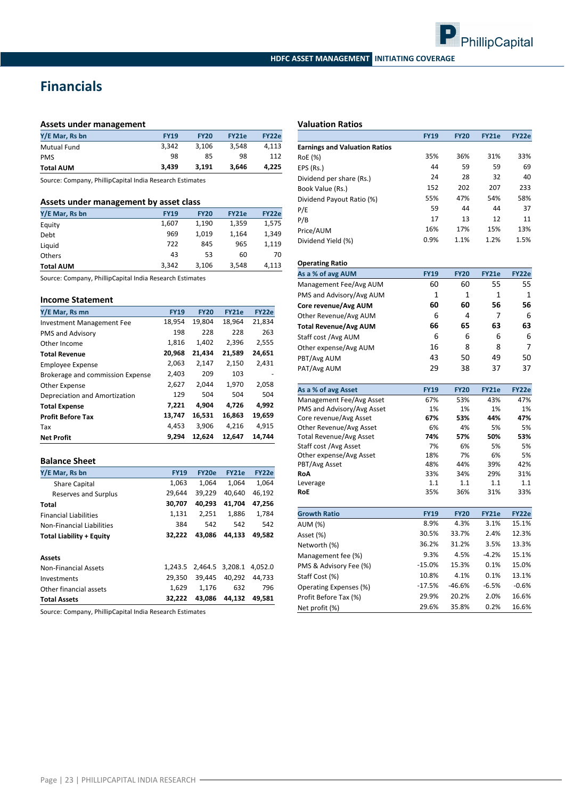

### **Financials**

#### **Assets under management**

| Y/E Mar, Rs bn     | <b>FY19</b> | <b>FY20</b> | FY21e | FY22e |
|--------------------|-------------|-------------|-------|-------|
| <b>Mutual Fund</b> | 3.342       | 3.106       | 3.548 | 4,113 |
| <b>PMS</b>         | 98          | 85          | 98    | 112   |
| <b>Total AUM</b>   | 3.439       | 3.191       | 3.646 | 4,225 |

Source: Company, PhillipCapital India Research Estimates

#### **Assets under management by asset class**

| Y/E Mar, Rs bn   | <b>FY19</b> | <b>FY20</b> | <b>FY21e</b> | FY22e |
|------------------|-------------|-------------|--------------|-------|
| Equity           | 1,607       | 1,190       | 1.359        | 1,575 |
| Debt             | 969         | 1.019       | 1.164        | 1,349 |
| Liquid           | 722         | 845         | 965          | 1,119 |
| <b>Others</b>    | 43          | 53          | 60           | 70    |
| <b>Total AUM</b> | 3.342       | 3,106       | 3,548        | 4,113 |

Source: Company, PhillipCapital India Research Estimates

#### **Income Statement**

| Y/E Mar, Rs mn                   | <b>FY19</b> | <b>FY20</b> | <b>FY21e</b> | FY22e  |
|----------------------------------|-------------|-------------|--------------|--------|
| Investment Management Fee        | 18,954      | 19.804      | 18.964       | 21,834 |
| PMS and Advisory                 | 198         | 228         | 228          | 263    |
| Other Income                     | 1,816       | 1.402       | 2,396        | 2,555  |
| <b>Total Revenue</b>             | 20,968      | 21,434      | 21,589       | 24,651 |
| <b>Employee Expense</b>          | 2,063       | 2,147       | 2,150        | 2,431  |
| Brokerage and commission Expense | 2,403       | 209         | 103          |        |
| Other Expense                    | 2,627       | 2,044       | 1,970        | 2,058  |
| Depreciation and Amortization    | 129         | 504         | 504          | 504    |
| <b>Total Expense</b>             | 7,221       | 4.904       | 4.726        | 4,992  |
| <b>Profit Before Tax</b>         | 13,747      | 16,531      | 16,863       | 19,659 |
| Tax                              | 4,453       | 3,906       | 4,216        | 4,915  |
| <b>Net Profit</b>                | 9.294       | 12,624      | 12,647       | 14,744 |

#### **Balance Sheet**

| Y/E Mar, Rs bn                  | <b>FY19</b> | FY20e  | <b>FY21e</b>    | FY22e   |
|---------------------------------|-------------|--------|-----------------|---------|
| <b>Share Capital</b>            | 1,063       | 1.064  | 1.064           | 1,064   |
| Reserves and Surplus            | 29.644      | 39.229 | 40.640          | 46,192  |
| Total                           | 30,707      | 40.293 | 41.704          | 47,256  |
| <b>Financial Liabilities</b>    | 1,131       | 2,251  | 1,886           | 1,784   |
| Non-Financial Liabilities       | 384         | 542    | 542             | 542     |
| <b>Total Liability + Equity</b> | 32.222      | 43.086 | 44.133          | 49.582  |
| <b>Assets</b>                   |             |        |                 |         |
| <b>Non-Financial Assets</b>     | 1.243.5     |        | 2.464.5 3.208.1 | 4.052.0 |
| Investments                     | 29.350      | 39.445 | 40.292          | 44.733  |
| Other financial assets          | 1,629       | 1.176  | 632             | 796     |
| <b>Total Assets</b>             | 32.222      | 43.086 | 44.132          | 49.581  |

Source: Company, PhillipCapital India Research Estimates

#### **Valuation Ratios**

|                                      | <b>FY19</b> | <b>FY20</b> | <b>FY21e</b> | <b>FY22e</b> |
|--------------------------------------|-------------|-------------|--------------|--------------|
| <b>Earnings and Valuation Ratios</b> |             |             |              |              |
| RoE (%)                              | 35%         | 36%         | 31%          | 33%          |
| EPS (Rs.)                            | 44          | 59          | 59           | 69           |
| Dividend per share (Rs.)             | 24          | 28          | 32           | 40           |
| Book Value (Rs.)                     | 152         | 202         | 207          | 233          |
| Dividend Payout Ratio (%)            | 55%         | 47%         | 54%          | 58%          |
| P/E                                  | 59          | 44          | 44           | 37           |
| P/B                                  | 17          | 13          | 12           | 11           |
| Price/AUM                            | 16%         | 17%         | 15%          | 13%          |
| Dividend Yield (%)                   | 0.9%        | 1.1%        | 1.2%         | 1.5%         |

#### **Operating Ratio**

| As a % of avg AUM            | <b>FY19</b> | <b>FY20</b> | <b>FY21e</b> | FY22e |
|------------------------------|-------------|-------------|--------------|-------|
| Management Fee/Avg AUM       | 60          | 60          | 55           | 55    |
| PMS and Advisory/Avg AUM     | 1           | 1           | 1            | 1     |
| Core revenue/Avg AUM         | 60          | 60          | 56           | 56    |
| Other Revenue/Avg AUM        | 6           | 4           | 7            | 6     |
| <b>Total Revenue/Avg AUM</b> | 66          | 65          | 63           | 63    |
| Staff cost /Avg AUM          | 6           | 6           | 6            | 6     |
| Other expense/Avg AUM        | 16          | 8           | 8            | 7     |
| PBT/Avg AUM                  | 43          | 50          | 49           | 50    |
| PAT/Avg AUM                  | 29          | 38          | 37           | 37    |

| As a % of avg Asset            | <b>FY19</b> | <b>FY20</b> | <b>FY21e</b> | <b>FY22e</b> |
|--------------------------------|-------------|-------------|--------------|--------------|
| Management Fee/Avg Asset       | 67%         | 53%         | 43%          | 47%          |
| PMS and Advisory/Avg Asset     | 1%          | 1%          | 1%           | 1%           |
| Core revenue/Avg Asset         | 67%         | 53%         | 44%          | 47%          |
| Other Revenue/Avg Asset        | 6%          | 4%          | 5%           | 5%           |
| <b>Total Revenue/Avg Asset</b> | 74%         | 57%         | 50%          | 53%          |
| Staff cost /Avg Asset          | 7%          | 6%          | 5%           | 5%           |
| Other expense/Avg Asset        | 18%         | 7%          | 6%           | 5%           |
| PBT/Avg Asset                  | 48%         | 44%         | 39%          | 42%          |
| RoA                            | 33%         | 34%         | 29%          | 31%          |
| Leverage                       | 1.1         | 1.1         | 1.1          | 1.1          |
| <b>RoE</b>                     | 35%         | 36%         | 31%          | 33%          |
|                                |             |             |              |              |
| <b>Growth Ratio</b>            | <b>FY19</b> | <b>FY20</b> | <b>FY21e</b> | <b>FY22e</b> |
| AUM (%)                        | 8.9%        | 4.3%        | 3.1%         | 15.1%        |
| Asset (%)                      | 30.5%       | 33.7%       | 2.4%         | 12.3%        |
| Networth (%)                   | 36.2%       | 31.2%       | 3.5%         | 13.3%        |
| Management fee (%)             | 9.3%        | 4.5%        | $-4.2%$      | 15.1%        |
| PMS & Advisory Fee (%)         | $-15.0%$    | 15.3%       | 0.1%         | 15.0%        |
| Staff Cost (%)                 | 10.8%       | 4.1%        | 0.1%         | 13.1%        |
| Operating Expenses (%)         | $-17.5%$    | $-46.6%$    | $-6.5%$      | $-0.6%$      |
| Profit Before Tax (%)          | 29.9%       | 20.2%       | 2.0%         | 16.6%        |
| Net profit (%)                 | 29.6%       | 35.8%       | 0.2%         | 16.6%        |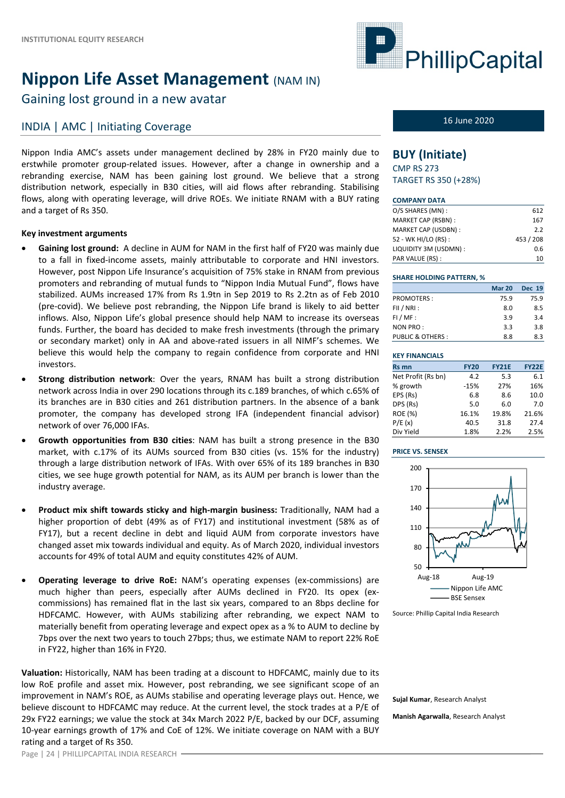# **Nippon Life Asset Management** (NAM IN)

Gaining lost ground in a new avatar

## INDIA | AMC | Initiating Coverage 16 June 2020

Nippon India AMC's assets under management declined by 28% in FY20 mainly due to erstwhile promoter group-related issues. However, after a change in ownership and a rebranding exercise, NAM has been gaining lost ground. We believe that a strong distribution network, especially in B30 cities, will aid flows after rebranding. Stabilising flows, along with operating leverage, will drive ROEs. We initiate RNAM with a BUY rating and a target of Rs 350.

#### **Key investment arguments**

- **Gaining lost ground:** A decline in AUM for NAM in the first half of FY20 was mainly due to a fall in fixed-income assets, mainly attributable to corporate and HNI investors. However, post Nippon Life Insurance's acquisition of 75% stake in RNAM from previous promoters and rebranding of mutual funds to "Nippon India Mutual Fund", flows have stabilized. AUMs increased 17% from Rs 1.9tn in Sep 2019 to Rs 2.2tn as of Feb 2010 (pre‐covid). We believe post rebranding, the Nippon Life brand is likely to aid better inflows. Also, Nippon Life's global presence should help NAM to increase its overseas funds. Further, the board has decided to make fresh investments (through the primary or secondary market) only in AA and above-rated issuers in all NIMF's schemes. We believe this would help the company to regain confidence from corporate and HNI investors.
- **Strong distribution network**: Over the years, RNAM has built a strong distribution network across India in over 290 locations through its c.189 branches, of which c.65% of its branches are in B30 cities and 261 distribution partners. In the absence of a bank promoter, the company has developed strong IFA (independent financial advisor) network of over 76,000 IFAs.
- **Growth opportunities from B30 cities**: NAM has built a strong presence in the B30 market, with c.17% of its AUMs sourced from B30 cities (vs. 15% for the industry) through a large distribution network of IFAs. With over 65% of its 189 branches in B30 cities, we see huge growth potential for NAM, as its AUM per branch is lower than the industry average.
- **Product mix shift towards sticky and high‐margin business:** Traditionally, NAM had a higher proportion of debt (49% as of FY17) and institutional investment (58% as of FY17), but a recent decline in debt and liquid AUM from corporate investors have changed asset mix towards individual and equity. As of March 2020, individual investors accounts for 49% of total AUM and equity constitutes 42% of AUM.
- **Operating leverage to drive RoE:** NAM's operating expenses (ex‐commissions) are much higher than peers, especially after AUMs declined in FY20. Its opex (excommissions) has remained flat in the last six years, compared to an 8bps decline for HDFCAMC. However, with AUMs stabilizing after rebranding, we expect NAM to materially benefit from operating leverage and expect opex as a % to AUM to decline by 7bps over the next two years to touch 27bps; thus, we estimate NAM to report 22% RoE in FY22, higher than 16% in FY20.

**Valuation:** Historically, NAM has been trading at a discount to HDFCAMC, mainly due to its low RoE profile and asset mix. However, post rebranding, we see significant scope of an improvement in NAM's ROE, as AUMs stabilise and operating leverage plays out. Hence, we believe discount to HDFCAMC may reduce. At the current level, the stock trades at a P/E of 29x FY22 earnings; we value the stock at 34x March 2022 P/E, backed by our DCF, assuming 10‐year earnings growth of 17% and CoE of 12%. We initiate coverage on NAM with a BUY rating and a target of Rs 350.



### **BUY (Initiate)**

CMP RS 273 TARGET RS 350 (+28%)

#### **COMPANY DATA**

| O/S SHARES (MN):      | 612       |
|-----------------------|-----------|
| MARKET CAP (RSBN):    | 167       |
| MARKET CAP (USDBN):   | 2.2       |
| 52 - WK HI/LO (RS) :  | 453 / 208 |
| LIQUIDITY 3M (USDMN): | 0.6       |
| PAR VALUE (RS):       | 10        |

#### **SHARE HOLDING PATTERN, %**

|                             | <b>Mar 20</b> | <b>Dec 19</b> |
|-----------------------------|---------------|---------------|
| <b>PROMOTERS:</b>           | 75.9          | 75.9          |
| FII / NRI:                  | 8.0           | 8.5           |
| $FI/MF$ :                   | 3.9           | 3.4           |
| NON PRO:                    | 3.3           | 3.8           |
| <b>PUBLIC &amp; OTHERS:</b> | 8.8           | 8.3           |

#### **KEY FINANCIALS Rs mn FY20 FY21E FY22E** Net Profit (Rs bn) 4.2 5.3 6.1 % growth ‐15% 27% 16% EPS (Rs) 6.8 8.6 10.0 DPS (Rs) 5.0 6.0 7.0 ROE (%) 16.1% 19.8% 21.6% P/E (x) 40.5 31.8 27.4 Div Yield 1.8% 2.2% 2.5%

#### **PRICE VS. SENSEX**



#### Source: Phillip Capital India Research

**Sujal Kumar**, Research Analyst

**Manish Agarwalla**, Research Analyst

Page | 24 | PHILLIPCAPITAL INDIA RESEARCH -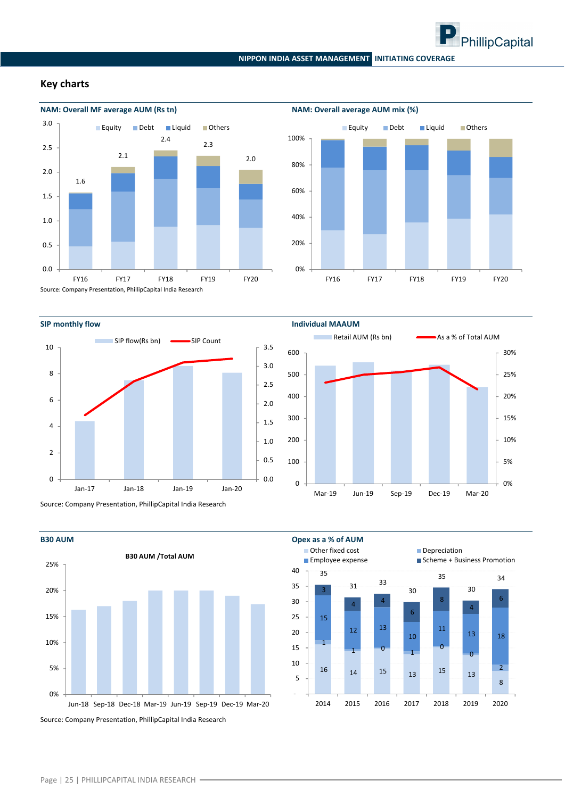

#### **NIPPON INDIA ASSET MANAGEMENT INITIATING COVERAGE**

#### **Key charts**





Source: Company Presentation, PhillipCapital India Research



0% 5% 10% 15% 20% 25% 30% 0 100 200 300 400 500 600 Mar‐19 Jun‐19 Sep‐19 Dec‐19 Mar‐20 **Retail AUM (Rs bn)** As a % of Total AUM

Source: Company Presentation, PhillipCapital India Research



Source: Company Presentation, PhillipCapital India Research



#### Page | 25 | PHILLIPCAPITAL INDIA RESEARCH -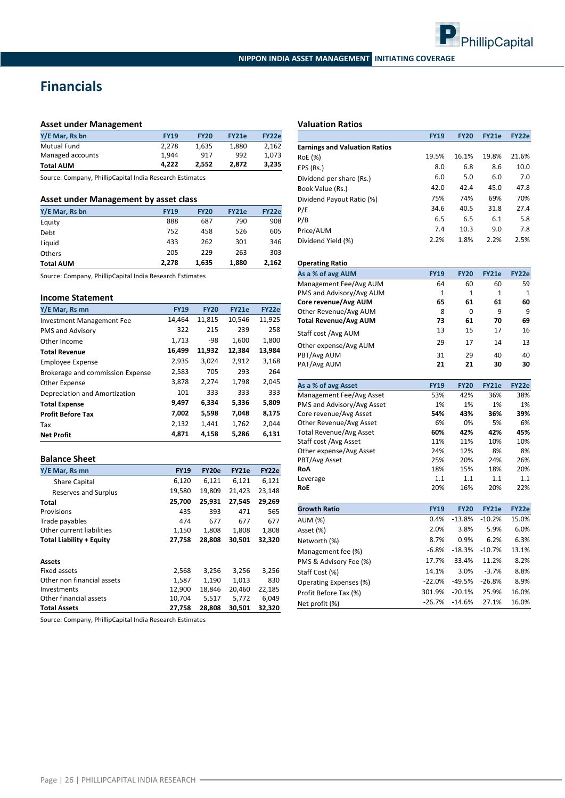

## **Financials**

#### **Asset under Management**

| Y/E Mar, Rs bn     | <b>FY19</b> | <b>FY20</b> | FY21e | FY22e |
|--------------------|-------------|-------------|-------|-------|
| <b>Mutual Fund</b> | 2.278       | 1.635       | 1.880 | 2.162 |
| Managed accounts   | 1.944       | 917         | 992   | 1.073 |
| <b>Total AUM</b>   | 4.222       | 2.552       | 2.872 | 3.235 |

Source: Company, PhillipCapital India Research Estimates

#### **Asset under Management by asset class**

| Y/E Mar, Rs bn   | <b>FY19</b> | <b>FY20</b> | <b>FY21e</b> | <b>FY22e</b> |
|------------------|-------------|-------------|--------------|--------------|
| Equity           | 888         | 687         | 790          | 908          |
| Debt             | 752         | 458         | 526          | 605          |
| Liquid           | 433         | 262         | 301          | 346          |
| <b>Others</b>    | 205         | 229         | 263          | 303          |
| <b>Total AUM</b> | 2.278       | 1,635       | 1.880        | 2,162        |

Source: Company, PhillipCapital India Research Estimates

#### **Income Statement**

| Y/E Mar, Rs mn                   | <b>FY19</b> | <b>FY20</b> | <b>FY21e</b> | <b>FY22e</b> |
|----------------------------------|-------------|-------------|--------------|--------------|
| <b>Investment Management Fee</b> | 14,464      | 11,815      | 10,546       | 11,925       |
| PMS and Advisory                 | 322         | 215         | 239          | 258          |
| Other Income                     | 1,713       | -98         | 1,600        | 1,800        |
| <b>Total Revenue</b>             | 16,499      | 11,932      | 12,384       | 13,984       |
| <b>Employee Expense</b>          | 2,935       | 3,024       | 2,912        | 3,168        |
| Brokerage and commission Expense | 2,583       | 705         | 293          | 264          |
| Other Expense                    | 3,878       | 2,274       | 1,798        | 2,045        |
| Depreciation and Amortization    | 101         | 333         | 333          | 333          |
| <b>Total Expense</b>             | 9,497       | 6,334       | 5,336        | 5,809        |
| <b>Profit Before Tax</b>         | 7,002       | 5,598       | 7,048        | 8,175        |
| Tax                              | 2,132       | 1,441       | 1,762        | 2,044        |
| <b>Net Profit</b>                | 4.871       | 4,158       | 5.286        | 6,131        |

#### **Balance Sheet**

| Y/E Mar, Rs mn                  | <b>FY19</b> | <b>FY20e</b> | FY21e  | FY22e  |
|---------------------------------|-------------|--------------|--------|--------|
| <b>Share Capital</b>            | 6,120       | 6,121        | 6,121  | 6,121  |
| Reserves and Surplus            | 19,580      | 19,809       | 21,423 | 23,148 |
| Total                           | 25,700      | 25,931       | 27.545 | 29,269 |
| Provisions                      | 435         | 393          | 471    | 565    |
| Trade payables                  | 474         | 677          | 677    | 677    |
| Other current liabilities       | 1,150       | 1,808        | 1,808  | 1,808  |
| <b>Total Liability + Equity</b> | 27,758      | 28.808       | 30.501 | 32,320 |
| Assets                          |             |              |        |        |
| Fixed assets                    | 2,568       | 3,256        | 3,256  | 3,256  |
| Other non financial assets      | 1.587       | 1.190        | 1.013  | 830    |
| Investments                     | 12,900      | 18,846       | 20,460 | 22,185 |
| Other financial assets          | 10,704      | 5,517        | 5,772  | 6,049  |
| <b>Total Assets</b>             | 27,758      | 28,808       | 30.501 | 32,320 |

Source: Company, PhillipCapital India Research Estimates

#### **Valuation Ratios**

|                                      | <b>FY19</b> | <b>FY20</b> | <b>FY21e</b> | FY22e |
|--------------------------------------|-------------|-------------|--------------|-------|
| <b>Earnings and Valuation Ratios</b> |             |             |              |       |
| RoE (%)                              | 19.5%       | 16.1%       | 19.8%        | 21.6% |
| EPS (Rs.)                            | 8.0         | 6.8         | 8.6          | 10.0  |
| Dividend per share (Rs.)             | 6.0         | 5.0         | 6.0          | 7.0   |
| Book Value (Rs.)                     | 42.0        | 42.4        | 45.0         | 47.8  |
| Dividend Payout Ratio (%)            | 75%         | 74%         | 69%          | 70%   |
| P/E                                  | 34.6        | 40.5        | 31.8         | 27.4  |
| P/B                                  | 6.5         | 6.5         | 6.1          | 5.8   |
| Price/AUM                            | 7.4         | 10.3        | 9.0          | 7.8   |
| Dividend Yield (%)                   | 2.2%        | 1.8%        | 2.2%         | 2.5%  |

#### **Operating Ratio**

| As a % of avg AUM            | <b>FY19</b>  | <b>FY20</b> | <b>FY21e</b> | <b>FY22e</b> |
|------------------------------|--------------|-------------|--------------|--------------|
| Management Fee/Avg AUM       | 64           | 60          | 60           | 59           |
| PMS and Advisory/Avg AUM     | $\mathbf{1}$ | 1           | $\mathbf{1}$ | 1            |
| Core revenue/Avg AUM         | 65           | 61          | 61           | 60           |
| Other Revenue/Avg AUM        | 8            | 0           | 9            | q            |
| <b>Total Revenue/Avg AUM</b> | 73           | 61          | 70           | 69           |
| Staff cost /Avg AUM          | 13           | 15          | 17           | 16           |
| Other expense/Avg AUM        | 29           | 17          | 14           | 13           |
| PBT/Avg AUM                  | 31           | 29          | 40           | 40           |
| PAT/Avg AUM                  | 21           | 21          | 30           | 30           |

| As a % of avg Asset            | <b>FY19</b> | <b>FY20</b> | <b>FY21e</b> | <b>FY22e</b> |
|--------------------------------|-------------|-------------|--------------|--------------|
| Management Fee/Avg Asset       | 53%         | 42%         | 36%          | 38%          |
| PMS and Advisory/Avg Asset     | 1%          | 1%          | 1%           | 1%           |
| Core revenue/Avg Asset         | 54%         | 43%         | 36%          | 39%          |
| Other Revenue/Avg Asset        | 6%          | 0%          | 5%           | 6%           |
| <b>Total Revenue/Avg Asset</b> | 60%         | 42%         | 42%          | 45%          |
| Staff cost /Avg Asset          | 11%         | 11%         | 10%          | 10%          |
| Other expense/Avg Asset        | 24%         | 12%         | 8%           | 8%           |
| PBT/Avg Asset                  | 25%         | 20%         | 24%          | 26%          |
| RoA                            | 18%         | 15%         | 18%          | 20%          |
| Leverage                       | 1.1         | 1.1         | 1.1          | 1.1          |
| <b>RoE</b>                     | 20%         | 16%         | 20%          | 22%          |
|                                |             |             |              |              |
| <b>Growth Ratio</b>            | <b>FY19</b> | <b>FY20</b> | <b>FY21e</b> | FY22e        |
| $A$ lina (0/1)                 | 0.4%        | $-13.8%$    | $-10.2%$     | 15.0%        |

| GIUWLII NALIU          | F1 9     | F14U     | F14.19   | FIZZE |
|------------------------|----------|----------|----------|-------|
| AUM (%)                | 0.4%     | $-13.8%$ | $-10.2%$ | 15.0% |
| Asset (%)              | 2.0%     | 3.8%     | 5.9%     | 6.0%  |
| Networth (%)           | 8.7%     | 0.9%     | 6.2%     | 6.3%  |
| Management fee (%)     | $-6.8%$  | $-18.3%$ | $-10.7%$ | 13.1% |
| PMS & Advisory Fee (%) | $-17.7%$ | $-33.4%$ | 11.2%    | 8.2%  |
| Staff Cost (%)         | 14.1%    | 3.0%     | $-3.7%$  | 8.8%  |
| Operating Expenses (%) | $-22.0%$ | $-49.5%$ | $-26.8%$ | 8.9%  |
| Profit Before Tax (%)  | 301.9%   | $-20.1%$ | 25.9%    | 16.0% |
| Net profit (%)         | $-26.7%$ | $-14.6%$ | 27.1%    | 16.0% |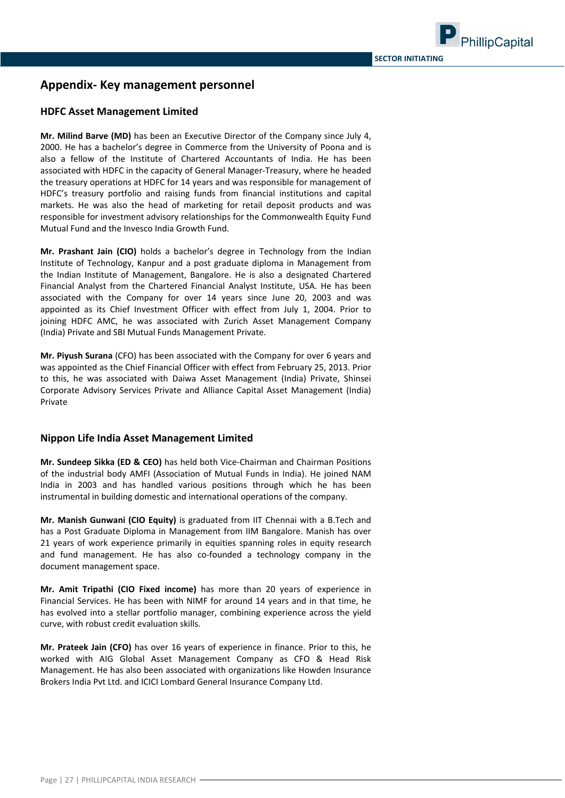### **Appendix‐ Key management personnel**

### **HDFC Asset Management Limited**

**Mr. Milind Barve (MD)** has been an Executive Director of the Company since July 4, 2000. He has a bachelor's degree in Commerce from the University of Poona and is also a fellow of the Institute of Chartered Accountants of India. He has been associated with HDFC in the capacity of General Manager‐Treasury, where he headed the treasury operations at HDFC for 14 years and was responsible for management of HDFC's treasury portfolio and raising funds from financial institutions and capital markets. He was also the head of marketing for retail deposit products and was responsible for investment advisory relationships for the Commonwealth Equity Fund Mutual Fund and the Invesco India Growth Fund.

**Mr. Prashant Jain (CIO)** holds a bachelor's degree in Technology from the Indian Institute of Technology, Kanpur and a post graduate diploma in Management from the Indian Institute of Management, Bangalore. He is also a designated Chartered Financial Analyst from the Chartered Financial Analyst Institute, USA. He has been associated with the Company for over 14 years since June 20, 2003 and was appointed as its Chief Investment Officer with effect from July 1, 2004. Prior to joining HDFC AMC, he was associated with Zurich Asset Management Company (India) Private and SBI Mutual Funds Management Private.

**Mr. Piyush Surana** (CFO) has been associated with the Company for over 6 years and was appointed as the Chief Financial Officer with effect from February 25, 2013. Prior to this, he was associated with Daiwa Asset Management (India) Private, Shinsei Corporate Advisory Services Private and Alliance Capital Asset Management (India) Private

#### **Nippon Life India Asset Management Limited**

**Mr. Sundeep Sikka (ED & CEO)** has held both Vice‐Chairman and Chairman Positions of the industrial body AMFI (Association of Mutual Funds in India). He joined NAM India in 2003 and has handled various positions through which he has been instrumental in building domestic and international operations of the company.

**Mr. Manish Gunwani (CIO Equity)** is graduated from IIT Chennai with a B.Tech and has a Post Graduate Diploma in Management from IIM Bangalore. Manish has over 21 years of work experience primarily in equities spanning roles in equity research and fund management. He has also co-founded a technology company in the document management space.

**Mr. Amit Tripathi (CIO Fixed income)** has more than 20 years of experience in Financial Services. He has been with NIMF for around 14 years and in that time, he has evolved into a stellar portfolio manager, combining experience across the yield curve, with robust credit evaluation skills.

**Mr. Prateek Jain (CFO)** has over 16 years of experience in finance. Prior to this, he worked with AIG Global Asset Management Company as CFO & Head Risk Management. He has also been associated with organizations like Howden Insurance Brokers India Pvt Ltd. and ICICI Lombard General Insurance Company Ltd.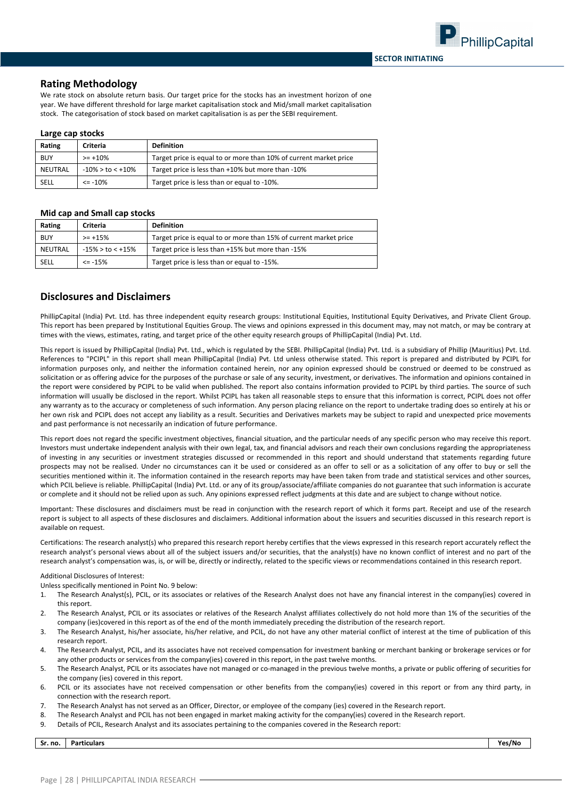#### **Rating Methodology**

We rate stock on absolute return basis. Our target price for the stocks has an investment horizon of one year. We have different threshold for large market capitalisation stock and Mid/small market capitalisation stock. The categorisation of stock based on market capitalisation is as per the SEBI requirement.

#### **Large cap stocks**

| Rating     | Criteria         | <b>Definition</b>                                                 |  |
|------------|------------------|-------------------------------------------------------------------|--|
| <b>BUY</b> | $>= +10%$        | Target price is equal to or more than 10% of current market price |  |
| NEUTRAL    | -10% > to < +10% | Target price is less than +10% but more than -10%                 |  |
| SELL       | $\le$ -10%       | Target price is less than or equal to -10%.                       |  |

#### **Mid cap and Small cap stocks**

| Rating     | Criteria            | <b>Definition</b>                                                 |
|------------|---------------------|-------------------------------------------------------------------|
| <b>BUY</b> | $>= +15%$           | Target price is equal to or more than 15% of current market price |
| NEUTRAL    | $-15\%$ > to < +15% | Target price is less than +15% but more than -15%                 |
| SELL       | $\le$ -15%          | Target price is less than or equal to -15%.                       |

#### **Disclosures and Disclaimers**

PhillipCapital (India) Pvt. Ltd. has three independent equity research groups: Institutional Equities, Institutional Equity Derivatives, and Private Client Group. This report has been prepared by Institutional Equities Group. The views and opinions expressed in this document may, may not match, or may be contrary at times with the views, estimates, rating, and target price of the other equity research groups of PhillipCapital (India) Pvt. Ltd.

This report is issued by PhillipCapital (India) Pvt. Ltd., which is regulated by the SEBI. PhillipCapital (India) Pvt. Ltd. is a subsidiary of Phillip (Mauritius) Pvt. Ltd. References to "PCIPL" in this report shall mean PhillipCapital (India) Pvt. Ltd unless otherwise stated. This report is prepared and distributed by PCIPL for information purposes only, and neither the information contained herein, nor any opinion expressed should be construed or deemed to be construed as solicitation or as offering advice for the purposes of the purchase or sale of any security, investment, or derivatives. The information and opinions contained in the report were considered by PCIPL to be valid when published. The report also contains information provided to PCIPL by third parties. The source of such information will usually be disclosed in the report. Whilst PCIPL has taken all reasonable steps to ensure that this information is correct, PCIPL does not offer any warranty as to the accuracy or completeness of such information. Any person placing reliance on the report to undertake trading does so entirely at his or her own risk and PCIPL does not accept any liability as a result. Securities and Derivatives markets may be subject to rapid and unexpected price movements and past performance is not necessarily an indication of future performance.

This report does not regard the specific investment objectives, financial situation, and the particular needs of any specific person who may receive this report. Investors must undertake independent analysis with their own legal, tax, and financial advisors and reach their own conclusions regarding the appropriateness of investing in any securities or investment strategies discussed or recommended in this report and should understand that statements regarding future prospects may not be realised. Under no circumstances can it be used or considered as an offer to sell or as a solicitation of any offer to buy or sell the securities mentioned within it. The information contained in the research reports may have been taken from trade and statistical services and other sources, which PCIL believe is reliable. PhillipCapital (India) Pvt. Ltd. or any of its group/associate/affiliate companies do not guarantee that such information is accurate or complete and it should not be relied upon as such. Any opinions expressed reflect judgments at this date and are subject to change without notice.

Important: These disclosures and disclaimers must be read in conjunction with the research report of which it forms part. Receipt and use of the research report is subject to all aspects of these disclosures and disclaimers. Additional information about the issuers and securities discussed in this research report is available on request.

Certifications: The research analyst(s) who prepared this research report hereby certifies that the views expressed in this research report accurately reflect the research analyst's personal views about all of the subject issuers and/or securities, that the analyst(s) have no known conflict of interest and no part of the research analyst's compensation was, is, or will be, directly or indirectly, related to the specific views or recommendations contained in this research report.

#### Additional Disclosures of Interest:

Unless specifically mentioned in Point No. 9 below:

- 1. The Research Analyst(s), PCIL, or its associates or relatives of the Research Analyst does not have any financial interest in the company(ies) covered in this report.
- 2. The Research Analyst, PCIL or its associates or relatives of the Research Analyst affiliates collectively do not hold more than 1% of the securities of the company (ies)covered in this report as of the end of the month immediately preceding the distribution of the research report.
- 3. The Research Analyst, his/her associate, his/her relative, and PCIL, do not have any other material conflict of interest at the time of publication of this research report.
- 4. The Research Analyst, PCIL, and its associates have not received compensation for investment banking or merchant banking or brokerage services or for any other products or services from the company(ies) covered in this report, in the past twelve months.
- 5. The Research Analyst, PCIL or its associates have not managed or co-managed in the previous twelve months, a private or public offering of securities for the company (ies) covered in this report.
- 6. PCIL or its associates have not received compensation or other benefits from the company(ies) covered in this report or from any third party, in connection with the research report.
- 7. The Research Analyst has not served as an Officer, Director, or employee of the company (ies) covered in the Research report.
- 8. The Research Analyst and PCIL has not been engaged in market making activity for the company(ies) covered in the Research report.
- 9. Details of PCIL, Research Analyst and its associates pertaining to the companies covered in the Research report:

**Sr. no. Particulars Yes/No**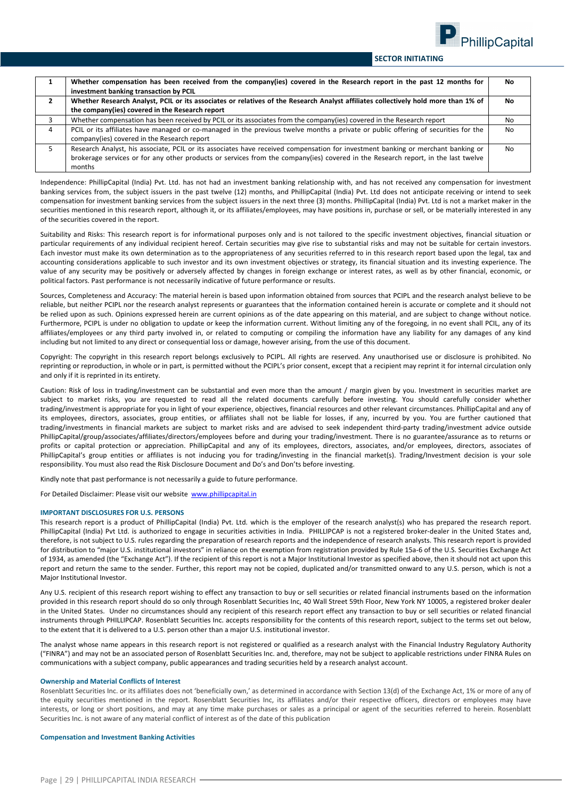

#### **ASECTOR INITIATING**

|   | Whether compensation has been received from the company(ies) covered in the Research report in the past 12 months for<br>investment banking transaction by PCIL | No.            |
|---|-----------------------------------------------------------------------------------------------------------------------------------------------------------------|----------------|
|   | Whether Research Analyst, PCIL or its associates or relatives of the Research Analyst affiliates collectively hold more than 1% of                              | No.            |
|   | the company(ies) covered in the Research report                                                                                                                 |                |
|   | Whether compensation has been received by PCIL or its associates from the company(ies) covered in the Research report                                           | No             |
| 4 | PCIL or its affiliates have managed or co-managed in the previous twelve months a private or public offering of securities for the                              | <b>No</b>      |
|   | company(ies) covered in the Research report                                                                                                                     |                |
|   | Research Analyst, his associate, PCIL or its associates have received compensation for investment banking or merchant banking or                                | N <sub>0</sub> |
|   | brokerage services or for any other products or services from the company(ies) covered in the Research report, in the last twelve                               |                |
|   | months                                                                                                                                                          |                |

Independence: PhillipCapital (India) Pvt. Ltd. has not had an investment banking relationship with, and has not received any compensation for investment banking services from, the subject issuers in the past twelve (12) months, and PhillipCapital (India) Pvt. Ltd does not anticipate receiving or intend to seek compensation for investment banking services from the subject issuers in the next three (3) months. PhillipCapital (India) Pvt. Ltd is not a market maker in the securities mentioned in this research report, although it, or its affiliates/employees, may have positions in, purchase or sell, or be materially interested in any of the securities covered in the report.

Suitability and Risks: This research report is for informational purposes only and is not tailored to the specific investment objectives, financial situation or particular requirements of any individual recipient hereof. Certain securities may give rise to substantial risks and may not be suitable for certain investors. Each investor must make its own determination as to the appropriateness of any securities referred to in this research report based upon the legal, tax and accounting considerations applicable to such investor and its own investment objectives or strategy, its financial situation and its investing experience. The value of any security may be positively or adversely affected by changes in foreign exchange or interest rates, as well as by other financial, economic, or political factors. Past performance is not necessarily indicative of future performance or results.

Sources, Completeness and Accuracy: The material herein is based upon information obtained from sources that PCIPL and the research analyst believe to be reliable, but neither PCIPL nor the research analyst represents or guarantees that the information contained herein is accurate or complete and it should not be relied upon as such. Opinions expressed herein are current opinions as of the date appearing on this material, and are subject to change without notice. Furthermore, PCIPL is under no obligation to update or keep the information current. Without limiting any of the foregoing, in no event shall PCIL, any of its affiliates/employees or any third party involved in, or related to computing or compiling the information have any liability for any damages of any kind including but not limited to any direct or consequential loss or damage, however arising, from the use of this document.

Copyright: The copyright in this research report belongs exclusively to PCIPL. All rights are reserved. Any unauthorised use or disclosure is prohibited. No reprinting or reproduction, in whole or in part, is permitted without the PCIPL's prior consent, except that a recipient may reprint it for internal circulation only and only if it is reprinted in its entirety.

Caution: Risk of loss in trading/investment can be substantial and even more than the amount / margin given by you. Investment in securities market are subject to market risks, you are requested to read all the related documents carefully before investing. You should carefully consider whether trading/investment is appropriate for you in light of your experience, objectives, financial resources and other relevant circumstances. PhillipCapital and any of its employees, directors, associates, group entities, or affiliates shall not be liable for losses, if any, incurred by you. You are further cautioned that trading/investments in financial markets are subject to market risks and are advised to seek independent third‐party trading/investment advice outside PhillipCapital/group/associates/affiliates/directors/employees before and during your trading/investment. There is no guarantee/assurance as to returns or profits or capital protection or appreciation. PhillipCapital and any of its employees, directors, associates, and/or employees, directors, associates of PhillipCapital's group entities or affiliates is not inducing you for trading/investing in the financial market(s). Trading/Investment decision is your sole responsibility. You must also read the Risk Disclosure Document and Do's and Don'ts before investing.

Kindly note that past performance is not necessarily a guide to future performance.

For Detailed Disclaimer: Please visit our website www.phillipcapital.in

#### **IMPORTANT DISCLOSURES FOR U.S. PERSONS**

This research report is a product of PhillipCapital (India) Pvt. Ltd. which is the employer of the research analyst(s) who has prepared the research report. PhillipCapital (India) Pvt Ltd. is authorized to engage in securities activities in India. PHILLIPCAP is not a registered broker-dealer in the United States and, therefore, is not subject to U.S. rules regarding the preparation of research reports and the independence of research analysts. This research report is provided for distribution to "major U.S. institutional investors" in reliance on the exemption from registration provided by Rule 15a-6 of the U.S. Securities Exchange Act of 1934, as amended (the "Exchange Act"). If the recipient of this report is not a Major Institutional Investor as specified above, then it should not act upon this report and return the same to the sender. Further, this report may not be copied, duplicated and/or transmitted onward to any U.S. person, which is not a Major Institutional Investor.

Any U.S. recipient of this research report wishing to effect any transaction to buy or sell securities or related financial instruments based on the information provided in this research report should do so only through Rosenblatt Securities Inc, 40 Wall Street 59th Floor, New York NY 10005, a registered broker dealer in the United States. Under no circumstances should any recipient of this research report effect any transaction to buy or sell securities or related financial instruments through PHILLIPCAP. Rosenblatt Securities Inc. accepts responsibility for the contents of this research report, subject to the terms set out below, to the extent that it is delivered to a U.S. person other than a major U.S. institutional investor.

The analyst whose name appears in this research report is not registered or qualified as a research analyst with the Financial Industry Regulatory Authority ("FINRA") and may not be an associated person of Rosenblatt Securities Inc. and, therefore, may not be subject to applicable restrictions under FINRA Rules on communications with a subject company, public appearances and trading securities held by a research analyst account.

#### **Ownership and Material Conflicts of Interest**

Rosenblatt Securities Inc. or its affiliates does not 'beneficially own,' as determined in accordance with Section 13(d) of the Exchange Act, 1% or more of any of the equity securities mentioned in the report. Rosenblatt Securities Inc, its affiliates and/or their respective officers, directors or employees may have interests, or long or short positions, and may at any time make purchases or sales as a principal or agent of the securities referred to herein. Rosenblatt Securities Inc. is not aware of any material conflict of interest as of the date of this publication

#### **Compensation and Investment Banking Activities**